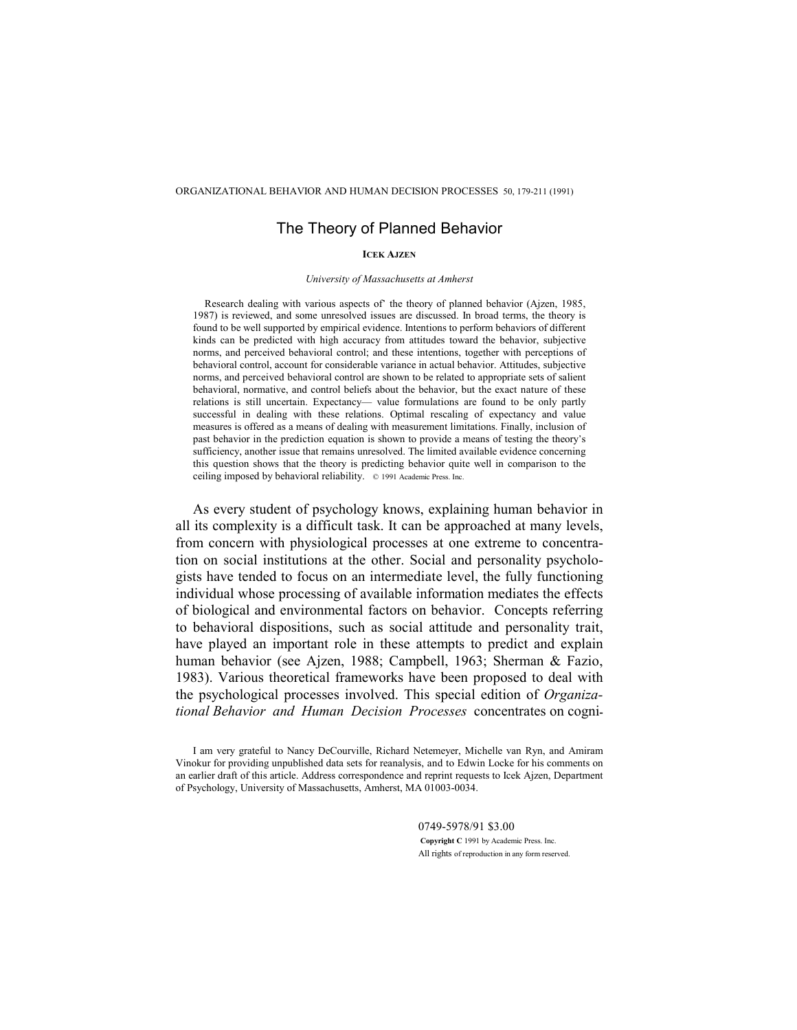#### ORGANIZATIONAL BEHAVIOR AND HUMAN DECISION PROCESSES 50, 179-211 (1991)

# The Theory of Planned Behavior

#### **ICEK AJZEN**

#### *University of Massachusetts at Amherst*

Research dealing with various aspects of the theory of planned behavior (Ajzen, 1985, 1987) is reviewed, and some unresolved issues are discussed. In broad terms, the theory is found to be well supported by empirical evidence. Intentions to perform behaviors of different kinds can be predicted with high accuracy from attitudes toward the behavior, subjective norms, and perceived behavioral control; and these intentions, together with perceptions of behavioral control, account for considerable variance in actual behavior. Attitudes, subjective norms, and perceived behavioral control are shown to be related to appropriate sets of salient behavioral, normative, and control beliefs about the behavior, but the exact nature of these relations is still uncertain. Expectancy— value formulations are found to be only partly successful in dealing with these relations. Optimal rescaling of expectancy and value measures is offered as a means of dealing with measurement limitations. Finally, inclusion of past behavior in the prediction equation is shown to provide a means of testing the theory\*s sufficiency, another issue that remains unresolved. The limited available evidence concerning this question shows that the theory is predicting behavior quite well in comparison to the ceiling imposed by behavioral reliability. © 1991 Academic Press. Inc.

As every student of psychology knows, explaining human behavior in all its complexity is a difficult task. It can be approached at many levels, from concern with physiological processes at one extreme to concentration on social institutions at the other. Social and personality psychologists have tended to focus on an intermediate level, the fully functioning individual whose processing of available information mediates the effects of biological and environmental factors on behavior. Concepts referring to behavioral dispositions, such as social attitude and personality trait, have played an important role in these attempts to predict and explain human behavior (see Ajzen, 1988; Campbell, 1963; Sherman & Fazio, 1983). Various theoretical frameworks have been proposed to deal with the psychological processes involved. This special edition of *Organizational Behavior and Human Decision Processes* concentrates on cogni**-**

0749-5978/91 \$3.00 **Copyright C** 1991 by Academic Press. Inc. All rights of reproduction in any form reserved.

I am very grateful to Nancy DeCourville, Richard Netemeyer, Michelle van Ryn, and Amiram Vinokur for providing unpublished data sets for reanalysis, and to Edwin Locke for his comments on an earlier draft of this article. Address correspondence and reprint requests to Icek Ajzen, Department of Psychology, University of Massachusetts, Amherst, MA 01003-0034.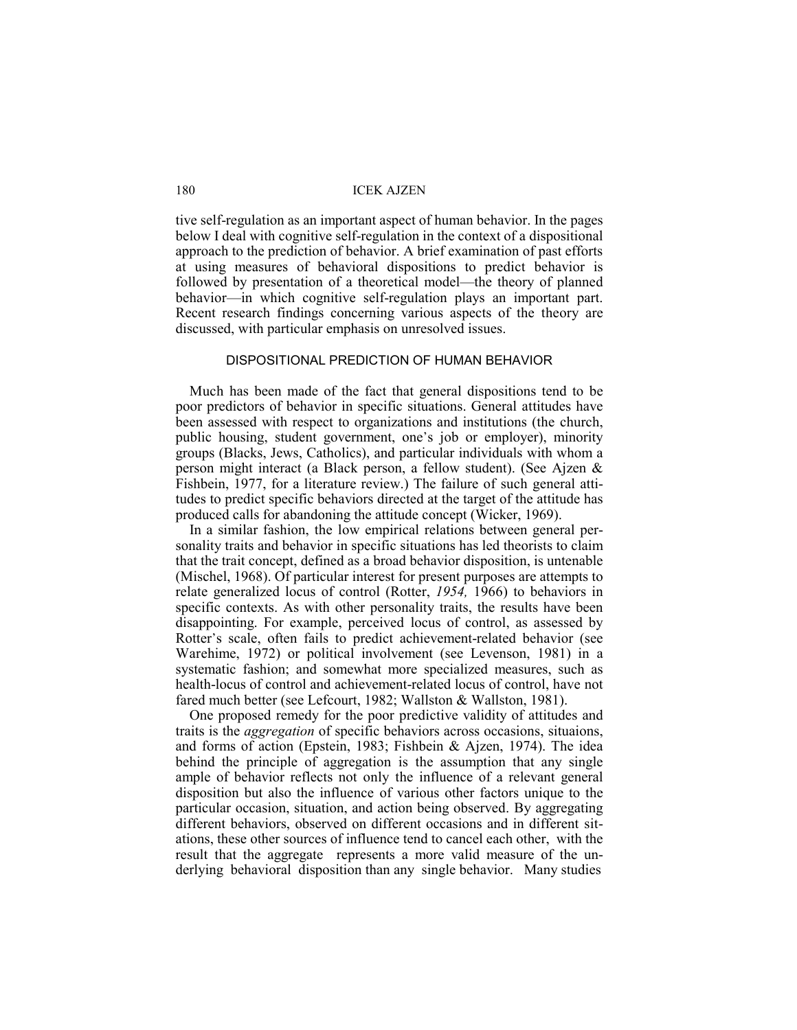tive self-regulation as an important aspect of human behavior. In the pages below I deal with cognitive self-regulation in the context of a dispositional approach to the prediction of behavior. A brief examination of past efforts at using measures of behavioral dispositions to predict behavior is followed by presentation of a theoretical model—the theory of planned behavior—in which cognitive self-regulation plays an important part. Recent research findings concerning various aspects of the theory are discussed, with particular emphasis on unresolved issues.

# DISPOSITIONAL PREDICTION OF HUMAN BEHAVIOR

Much has been made of the fact that general dispositions tend to be poor predictors of behavior in specific situations. General attitudes have been assessed with respect to organizations and institutions (the church, public housing, student government, one's job or employer), minority groups (Blacks, Jews, Catholics), and particular individuals with whom a person might interact (a Black person, a fellow student). (See Ajzen & Fishbein, 1977, for a literature review.) The failure of such general attitudes to predict specific behaviors directed at the target of the attitude has produced calls for abandoning the attitude concept (Wicker, 1969).

In a similar fashion, the low empirical relations between general personality traits and behavior in specific situations has led theorists to claim that the trait concept, defined as a broad behavior disposition, is untenable (Mischel, 1968). Of particular interest for present purposes are attempts to relate generalized locus of control (Rotter, *1954,* 1966) to behaviors in specific contexts. As with other personality traits, the results have been disappointing. For example, perceived locus of control, as assessed by Rotter's scale, often fails to predict achievement-related behavior (see Warehime, 1972) or political involvement (see Levenson, 1981) in a systematic fashion; and somewhat more specialized measures, such as health-locus of control and achievement-related locus of control, have not fared much better (see Lefcourt, 1982; Wallston & Wallston, 1981).

One proposed remedy for the poor predictive validity of attitudes and traits is the *aggregation* of specific behaviors across occasions, situaions, and forms of action (Epstein, 1983; Fishbein & Ajzen, 1974). The idea behind the principle of aggregation is the assumption that any single ample of behavior reflects not only the influence of a relevant general disposition but also the influence of various other factors unique to the particular occasion, situation, and action being observed. By aggregating different behaviors, observed on different occasions and in different sitations, these other sources of influence tend to cancel each other, with the result that the aggregate represents a more valid measure of the underlying behavioral disposition than any single behavior. Many studies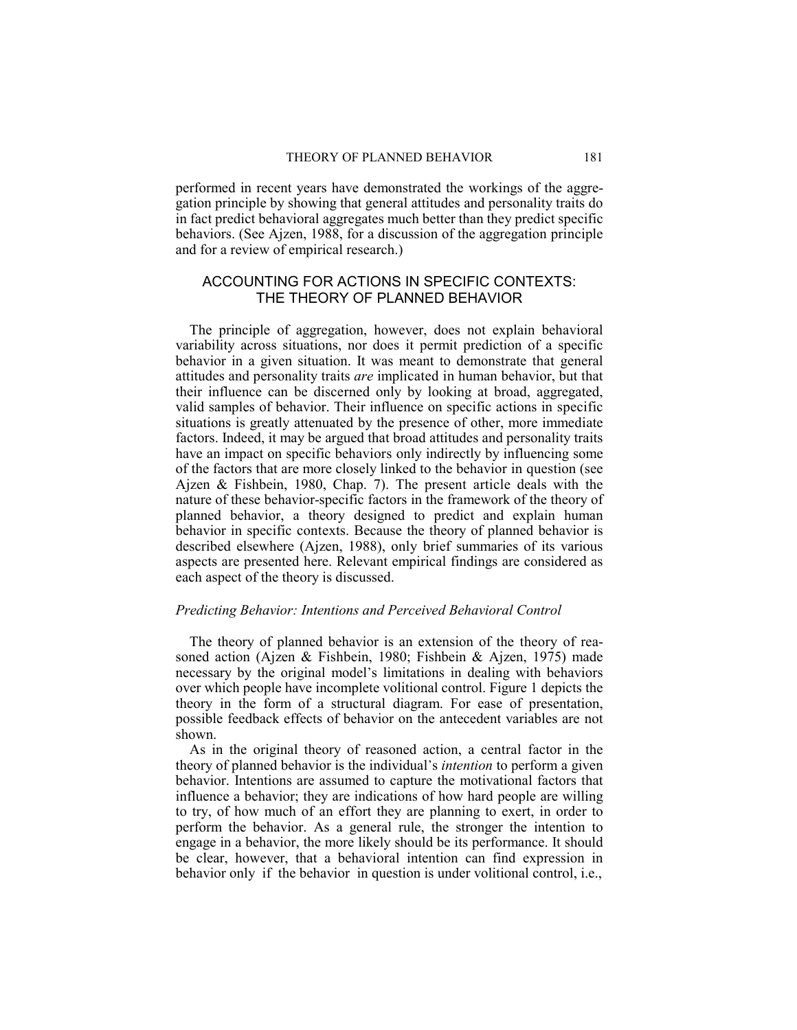performed in recent years have demonstrated the workings of the aggregation principle by showing that general attitudes and personality traits do in fact predict behavioral aggregates much better than they predict specific behaviors. (See Ajzen, 1988, for a discussion of the aggregation principle and for a review of empirical research.)

# ACCOUNTING FOR ACTIONS IN SPECIFIC CONTEXTS: THE THEORY OF PLANNED BEHAVIOR

The principle of aggregation, however, does not explain behavioral variability across situations, nor does it permit prediction of a specific behavior in a given situation. It was meant to demonstrate that general attitudes and personality traits *are* implicated in human behavior, but that their influence can be discerned only by looking at broad, aggregated, valid samples of behavior. Their influence on specific actions in specific situations is greatly attenuated by the presence of other, more immediate factors. Indeed, it may be argued that broad attitudes and personality traits have an impact on specific behaviors only indirectly by influencing some of the factors that are more closely linked to the behavior in question (see Ajzen & Fishbein, 1980, Chap. 7). The present article deals with the nature of these behavior-specific factors in the framework of the theory of planned behavior, a theory designed to predict and explain human behavior in specific contexts. Because the theory of planned behavior is described elsewhere (Ajzen, 1988), only brief summaries of its various aspects are presented here. Relevant empirical findings are considered as each aspect of the theory is discussed.

#### *Predicting Behavior: Intentions and Perceived Behavioral Control*

The theory of planned behavior is an extension of the theory of reasoned action (Ajzen & Fishbein, 1980; Fishbein & Ajzen, 1975) made necessary by the original model's limitations in dealing with behaviors over which people have incomplete volitional control. Figure 1 depicts the theory in the form of a structural diagram. For ease of presentation, possible feedback effects of behavior on the antecedent variables are not shown.

As in the original theory of reasoned action, a central factor in the theory of planned behavior is the individual\*s *intention* to perform a given behavior. Intentions are assumed to capture the motivational factors that influence a behavior; they are indications of how hard people are willing to try, of how much of an effort they are planning to exert, in order to perform the behavior. As a general rule, the stronger the intention to engage in a behavior, the more likely should be its performance. It should be clear, however, that a behavioral intention can find expression in behavior only if the behavior in question is under volitional control, i.e.,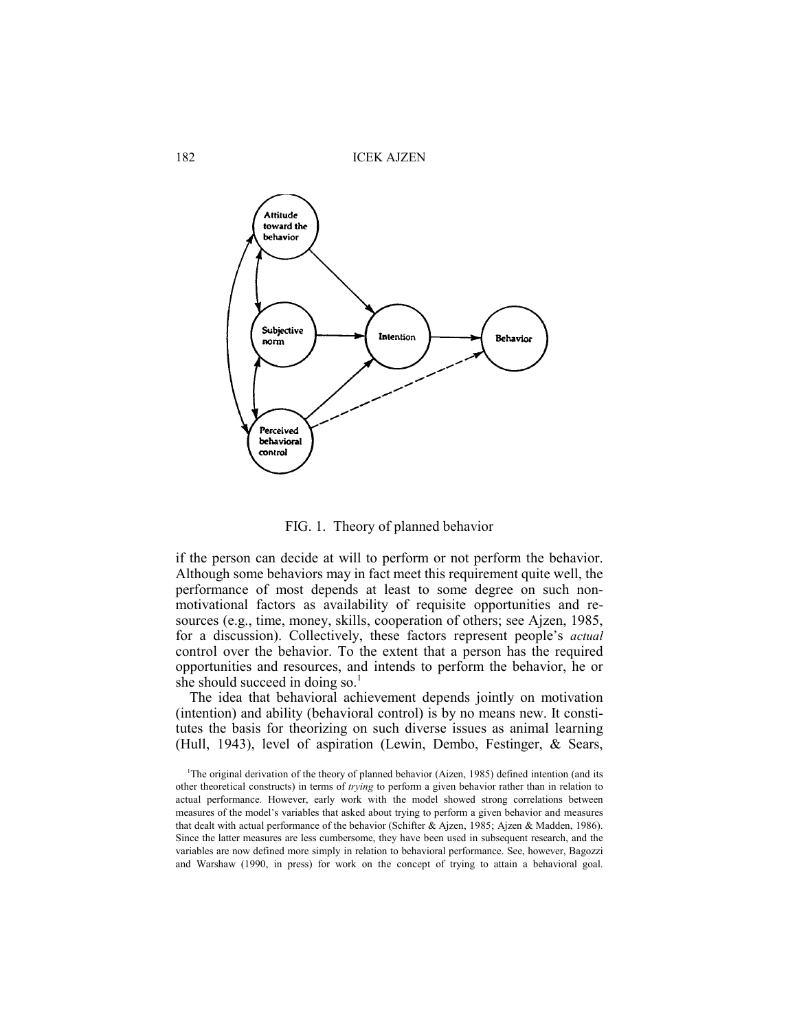182 ICEK AJZEN



FIG. 1. Theory of planned behavior

if the person can decide at will to perform or not perform the behavior. Although some behaviors may in fact meet this requirement quite well, the performance of most depends at least to some degree on such nonmotivational factors as availability of requisite opportunities and resources (e.g., time, money, skills, cooperation of others; see Ajzen, 1985, for a discussion). Collectively, these factors represent people\*s *actual* control over the behavior. To the extent that a person has the required opportunities and resources, and intends to perform the behavior, he or she should succeed in doing so.<sup>1</sup>

The idea that behavioral achievement depends jointly on motivation (intention) and ability (behavioral control) is by no means new. It constitutes the basis for theorizing on such diverse issues as animal learning (Hull, 1943), level of aspiration (Lewin, Dembo, Festinger, & Sears,

1 The original derivation of the theory of planned behavior (Aizen, 1985) defined intention (and its other theoretical constructs) in terms of *trying* to perform a given behavior rather than in relation to actual performance. However, early work with the model showed strong correlations between measures of the model\*s variables that asked about trying to perform a given behavior and measures that dealt with actual performance of the behavior (Schifter & Ajzen, 1985; Ajzen & Madden, 1986). Since the latter measures are less cumbersome, they have been used in subsequent research, and the variables are now defined more simply in relation to behavioral performance. See, however, Bagozzi and Warshaw (1990, in press) for work on the concept of trying to attain a behavioral goal.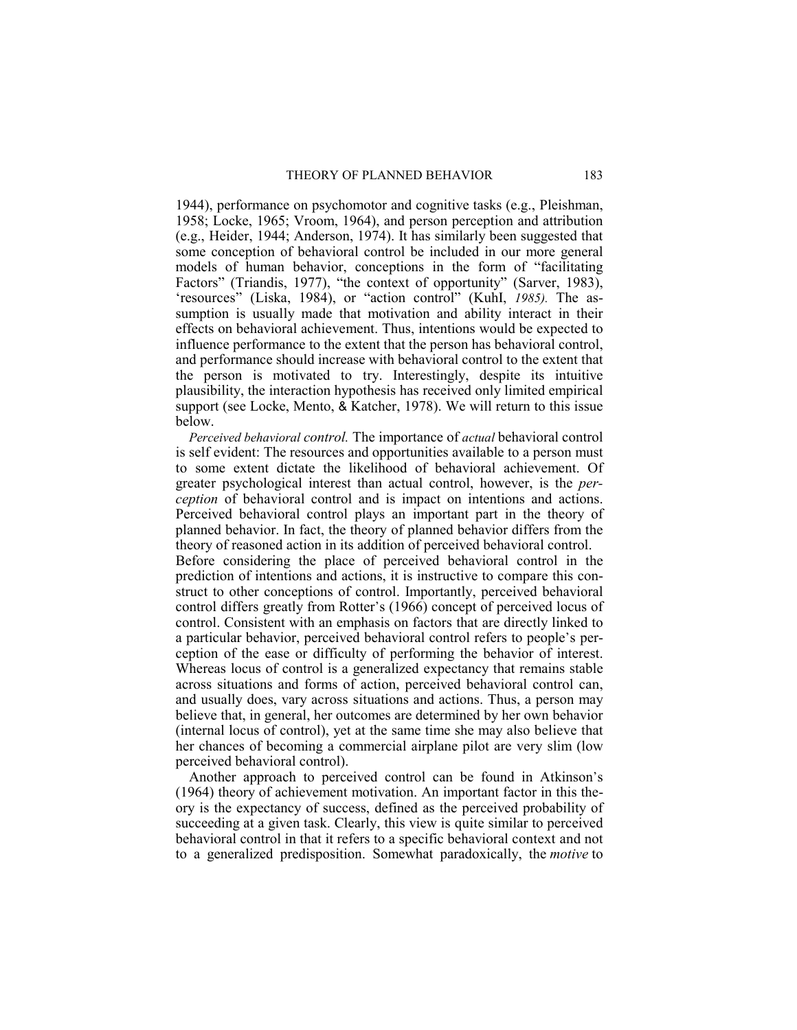1944), performance on psychomotor and cognitive tasks (e.g., Pleishman, 1958; Locke, 1965; Vroom, 1964), and person perception and attribution (e.g., Heider, 1944; Anderson, 1974). It has similarly been suggested that some conception of behavioral control be included in our more general models of human behavior, conceptions in the form of "facilitating" Factors" (Triandis, 1977), "the context of opportunity" (Sarver, 1983), 'resources" (Liska, 1984), or "action control" (KuhI, 1985). The assumption is usually made that motivation and ability interact in their effects on behavioral achievement. Thus, intentions would be expected to influence performance to the extent that the person has behavioral control, and performance should increase with behavioral control to the extent that the person is motivated to try. Interestingly, despite its intuitive plausibility, the interaction hypothesis has received only limited empirical support (see Locke, Mento, & Katcher, 1978). We will return to this issue below.

*Perceived behavioral control.* The importance of *actual* behavioral control is self evident: The resources and opportunities available to a person must to some extent dictate the likelihood of behavioral achievement. Of greater psychological interest than actual control, however, is the *perception* of behavioral control and is impact on intentions and actions. Perceived behavioral control plays an important part in the theory of planned behavior. In fact, the theory of planned behavior differs from the theory of reasoned action in its addition of perceived behavioral control. Before considering the place of perceived behavioral control in the prediction of intentions and actions, it is instructive to compare this construct to other conceptions of control. Importantly, perceived behavioral control differs greatly from Rotter's (1966) concept of perceived locus of control. Consistent with an emphasis on factors that are directly linked to a particular behavior, perceived behavioral control refers to people\*s perception of the ease or difficulty of performing the behavior of interest. Whereas locus of control is a generalized expectancy that remains stable across situations and forms of action, perceived behavioral control can, and usually does, vary across situations and actions. Thus, a person may believe that, in general, her outcomes are determined by her own behavior (internal locus of control), yet at the same time she may also believe that her chances of becoming a commercial airplane pilot are very slim (low perceived behavioral control).

Another approach to perceived control can be found in Atkinson's (1964) theory of achievement motivation. An important factor in this theory is the expectancy of success, defined as the perceived probability of succeeding at a given task. Clearly, this view is quite similar to perceived behavioral control in that it refers to a specific behavioral context and not to a generalized predisposition. Somewhat paradoxically, the *motive* to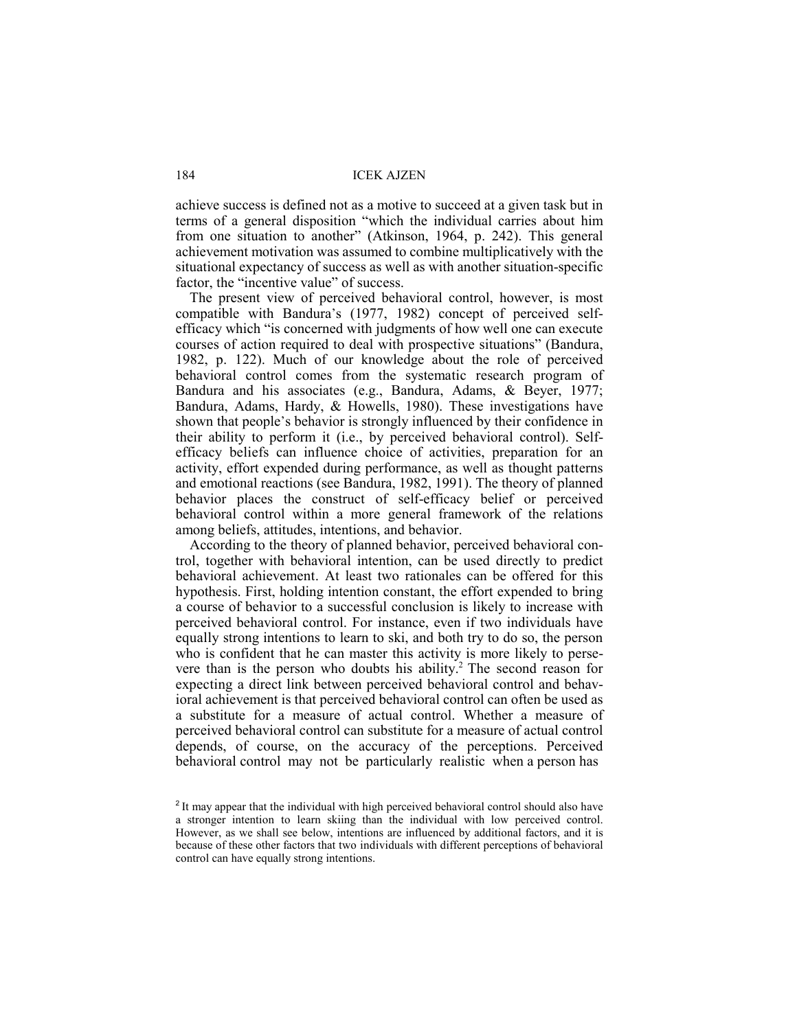achieve success is defined not as a motive to succeed at a given task but in terms of a general disposition "which the individual carries about him from one situation to another" (Atkinson, 1964, p. 242). This general achievement motivation was assumed to combine multiplicatively with the situational expectancy of success as well as with another situation-specific factor, the "incentive value" of success.

The present view of perceived behavioral control, however, is most compatible with Bandura's (1977, 1982) concept of perceived selfefficacy which "is concerned with judgments of how well one can execute courses of action required to deal with prospective situations" (Bandura, 1982, p. 122). Much of our knowledge about the role of perceived behavioral control comes from the systematic research program of Bandura and his associates (e.g., Bandura, Adams, & Beyer, 1977; Bandura, Adams, Hardy, & Howells, 1980). These investigations have shown that people's behavior is strongly influenced by their confidence in their ability to perform it (i.e., by perceived behavioral control). Selfefficacy beliefs can influence choice of activities, preparation for an activity, effort expended during performance, as well as thought patterns and emotional reactions (see Bandura, 1982, 1991). The theory of planned behavior places the construct of self-efficacy belief or perceived behavioral control within a more general framework of the relations among beliefs, attitudes, intentions, and behavior.

According to the theory of planned behavior, perceived behavioral control, together with behavioral intention, can be used directly to predict behavioral achievement. At least two rationales can be offered for this hypothesis. First, holding intention constant, the effort expended to bring a course of behavior to a successful conclusion is likely to increase with perceived behavioral control. For instance, even if two individuals have equally strong intentions to learn to ski, and both try to do so, the person who is confident that he can master this activity is more likely to persevere than is the person who doubts his ability.<sup>2</sup> The second reason for expecting a direct link between perceived behavioral control and behavioral achievement is that perceived behavioral control can often be used as a substitute for a measure of actual control. Whether a measure of perceived behavioral control can substitute for a measure of actual control depends, of course, on the accuracy of the perceptions. Perceived behavioral control may not be particularly realistic when a person has

<sup>2</sup> It may appear that the individual with high perceived behavioral control should also have a stronger intention to learn skiing than the individual with low perceived control. However, as we shall see below, intentions are influenced by additional factors, and it is because of these other factors that two individuals with different perceptions of behavioral control can have equally strong intentions.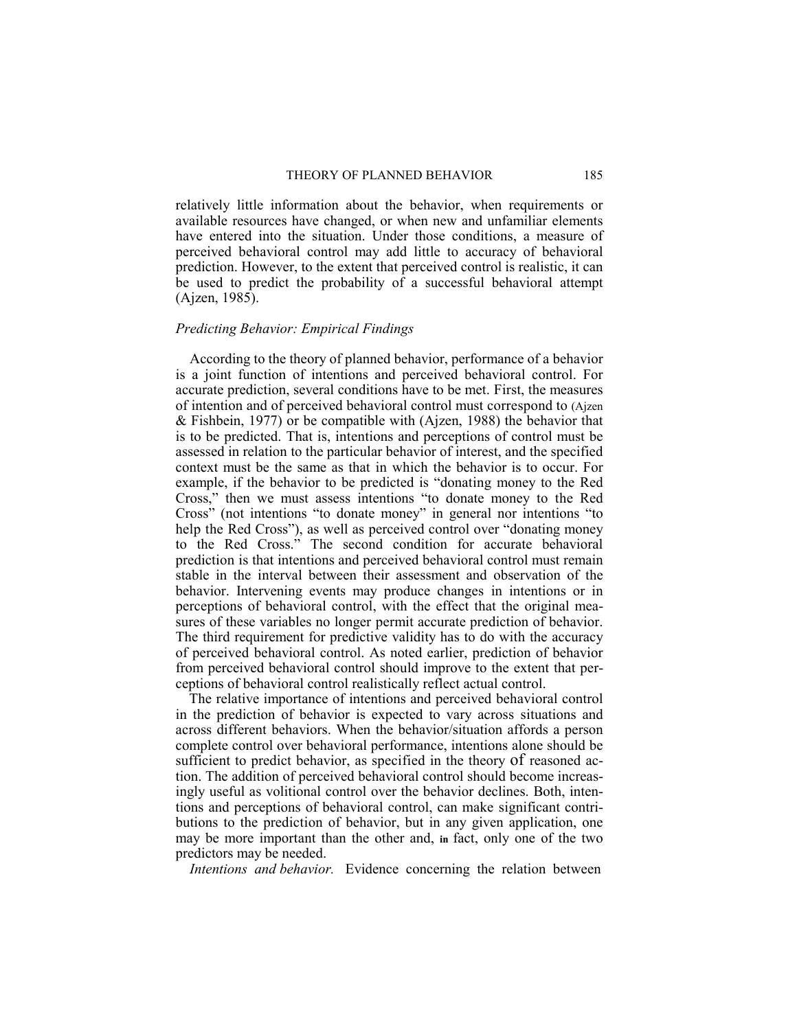relatively little information about the behavior, when requirements or available resources have changed, or when new and unfamiliar elements have entered into the situation. Under those conditions, a measure of perceived behavioral control may add little to accuracy of behavioral prediction. However, to the extent that perceived control is realistic, it can be used to predict the probability of a successful behavioral attempt (Ajzen, 1985).

# *Predicting Behavior: Empirical Findings*

According to the theory of planned behavior, performance of a behavior is a joint function of intentions and perceived behavioral control. For accurate prediction, several conditions have to be met. First, the measures of intention and of perceived behavioral control must correspond to (Ajzen & Fishbein, 1977) or be compatible with (Ajzen, 1988) the behavior that is to be predicted. That is, intentions and perceptions of control must be assessed in relation to the particular behavior of interest, and the specified context must be the same as that in which the behavior is to occur. For example, if the behavior to be predicted is "donating money to the Red Cross," then we must assess intentions "to donate money to the Red Cross" (not intentions "to donate money" in general nor intentions "to help the Red Cross"), as well as perceived control over "donating money to the Red Cross." The second condition for accurate behavioral prediction is that intentions and perceived behavioral control must remain stable in the interval between their assessment and observation of the behavior. Intervening events may produce changes in intentions or in perceptions of behavioral control, with the effect that the original measures of these variables no longer permit accurate prediction of behavior. The third requirement for predictive validity has to do with the accuracy of perceived behavioral control. As noted earlier, prediction of behavior from perceived behavioral control should improve to the extent that perceptions of behavioral control realistically reflect actual control.

The relative importance of intentions and perceived behavioral control in the prediction of behavior is expected to vary across situations and across different behaviors. When the behavior/situation affords a person complete control over behavioral performance, intentions alone should be sufficient to predict behavior, as specified in the theory of reasoned action. The addition of perceived behavioral control should become increasingly useful as volitional control over the behavior declines. Both, intentions and perceptions of behavioral control, can make significant contributions to the prediction of behavior, but in any given application, one may be more important than the other and, **in** fact, only one of the two predictors may be needed.

*Intentions and behavior.* Evidence concerning the relation between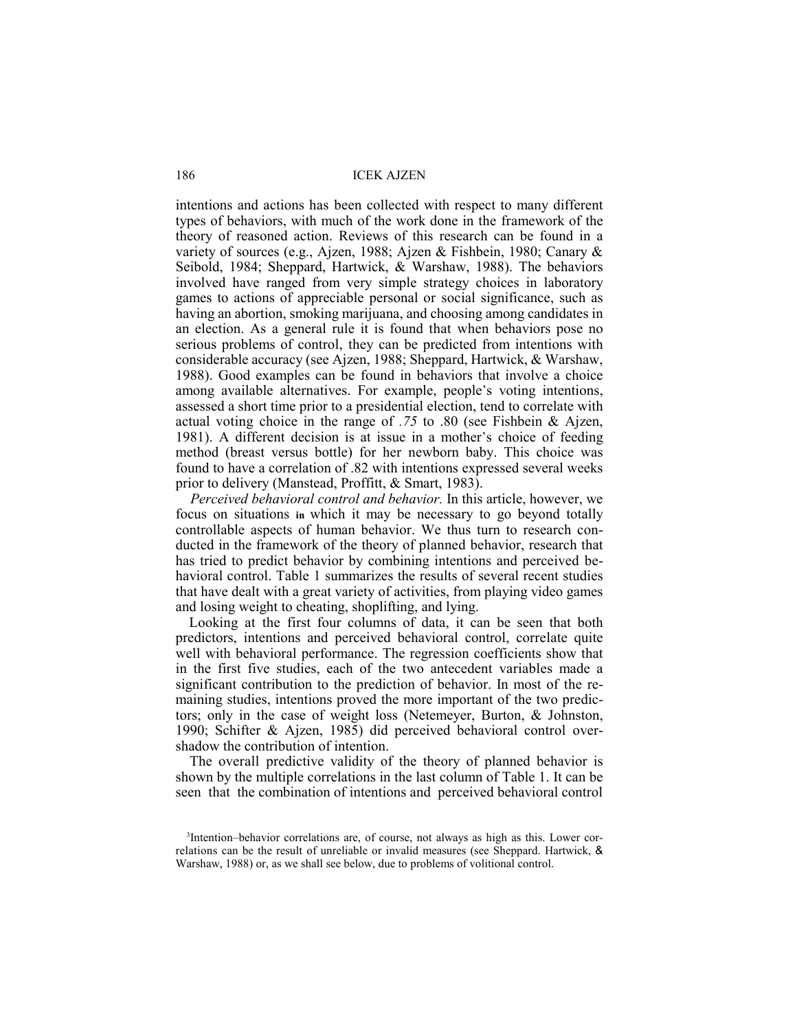intentions and actions has been collected with respect to many different types of behaviors, with much of the work done in the framework of the theory of reasoned action. Reviews of this research can be found in a variety of sources (e.g., Ajzen, 1988; Ajzen & Fishbein, 1980; Canary & Seibold, 1984; Sheppard, Hartwick, & Warshaw, 1988). The behaviors involved have ranged from very simple strategy choices in laboratory games to actions of appreciable personal or social significance, such as having an abortion, smoking marijuana, and choosing among candidates in an election. As a general rule it is found that when behaviors pose no serious problems of control, they can be predicted from intentions with considerable accuracy (see Ajzen, 1988; Sheppard, Hartwick, & Warshaw, 1988). Good examples can be found in behaviors that involve a choice among available alternatives. For example, people's voting intentions, assessed a short time prior to a presidential election, tend to correlate with actual voting choice in the range of *.75* to .80 (see Fishbein & Ajzen, 1981). A different decision is at issue in a mother's choice of feeding method (breast versus bottle) for her newborn baby. This choice was found to have a correlation of .82 with intentions expressed several weeks prior to delivery (Manstead, Proffitt, & Smart, 1983).

*Perceived behavioral control and behavior.* In this article, however, we focus on situations **in** which it may be necessary to go beyond totally controllable aspects of human behavior. We thus turn to research conducted in the framework of the theory of planned behavior, research that has tried to predict behavior by combining intentions and perceived behavioral control. Table 1 summarizes the results of several recent studies that have dealt with a great variety of activities, from playing video games and losing weight to cheating, shoplifting, and lying.

Looking at the first four columns of data, it can be seen that both predictors, intentions and perceived behavioral control, correlate quite well with behavioral performance. The regression coefficients show that in the first five studies, each of the two antecedent variables made a significant contribution to the prediction of behavior. In most of the remaining studies, intentions proved the more important of the two predictors; only in the case of weight loss (Netemeyer, Burton, & Johnston, 1990; Schifter & Ajzen, 1985) did perceived behavioral control overshadow the contribution of intention.

The overall predictive validity of the theory of planned behavior is shown by the multiple correlations in the last column of Table 1. It can be seen that the combination of intentions and perceived behavioral control

<sup>3</sup>Intention–behavior correlations are, of course, not always as high as this. Lower correlations can be the result of unreliable or invalid measures (see Sheppard. Hartwick, & Warshaw, 1988) or, as we shall see below, due to problems of volitional control.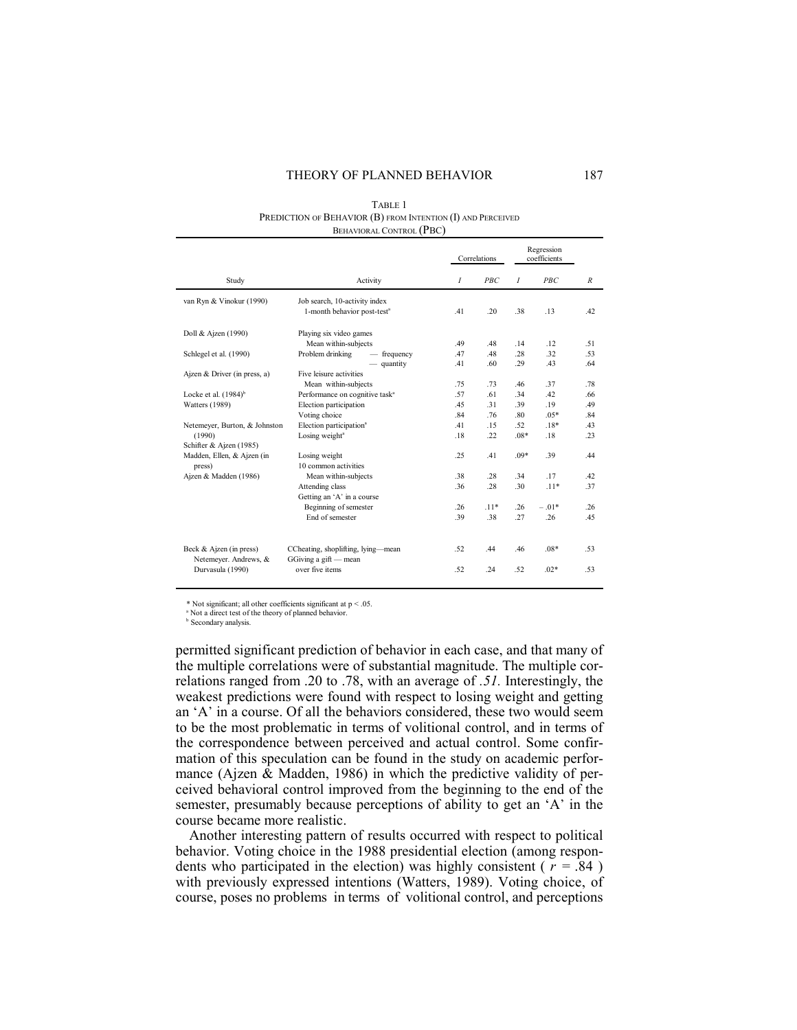TABLE 1 PREDICTION OF BEHAVIOR (B) FROM INTENTION (I) AND PERCEIVED BEHAVIORAL CONTROL (PBC)

|                                    |                                            |     | Correlations |        | Regression<br>coefficients |                  |
|------------------------------------|--------------------------------------------|-----|--------------|--------|----------------------------|------------------|
| Study                              | Activity                                   | I   | PRC          | I      | PRC                        | $\boldsymbol{R}$ |
| van Ryn & Vinokur (1990)           | Job search, 10-activity index              |     |              |        |                            |                  |
|                                    | 1-month behavior post-test <sup>a</sup>    | .41 | .20          | .38    | .13                        | .42              |
| Doll & Ajzen (1990)                | Playing six video games                    |     |              |        |                            |                  |
|                                    | Mean within-subjects                       | .49 | 48           | 14     | 12                         | .51              |
| Schlegel et al. (1990)             | Problem drinking<br>— frequency            | .47 | .48          | .28    | .32                        | .53              |
|                                    | — quantity                                 | .41 | .60          | .29    | .43                        | .64              |
| Ajzen & Driver (in press, a)       | Five leisure activities                    |     |              |        |                            |                  |
|                                    | Mean within-subjects                       | .75 | .73          | .46    | .37                        | .78              |
| Locke et al. $(1984)$ <sup>b</sup> | Performance on cognitive task <sup>a</sup> | .57 | .61          | .34    | .42                        | .66              |
| <b>Watters (1989)</b>              | Election participation                     | .45 | .31          | .39    | .19                        | .49              |
|                                    | Voting choice                              | .84 | .76          | .80    | $.05*$                     | .84              |
| Netemeyer, Burton, & Johnston      | Election participation <sup>a</sup>        | .41 | .15          | .52    | $.18*$                     | .43              |
| (1990)                             | Losing weight <sup>a</sup>                 | .18 | .22          | $.08*$ | .18                        | .23              |
| Schifter & Ajzen (1985)            |                                            |     |              |        |                            |                  |
| Madden, Ellen, & Ajzen (in         | Losing weight                              | 25  | 41           | $.09*$ | 39                         | 44               |
| press)                             | 10 common activities                       |     |              |        |                            |                  |
| Ajzen & Madden (1986)              | Mean within-subjects                       | .38 | .28          | .34    | .17                        | .42              |
|                                    | Attending class                            | .36 | .28          | .30    | $.11*$                     | .37              |
|                                    | Getting an 'A' in a course                 |     |              |        |                            |                  |
|                                    | Beginning of semester                      | .26 | $.11*$       | .26    | $-.01*$                    | .26              |
|                                    | End of semester                            | .39 | .38          | .27    | .26                        | .45              |
|                                    |                                            |     |              |        |                            |                  |
| Beck & Ajzen (in press)            | CCheating, shoplifting, lying-mean         | .52 | .44          | .46    | .08*                       | .53              |
| Netemever. Andrews, &              | GGiving a gift - mean                      |     |              |        |                            |                  |
| Durvasula (1990)                   | over five items                            | .52 | .24          | .52    | $.02*$                     | .53              |

\* Not significant; all other coefficients significant at p < .05.

<sup>a</sup> Not a direct test of the theory of planned behavior.

**b** Secondary analysis.

permitted significant prediction of behavior in each case, and that many of the multiple correlations were of substantial magnitude. The multiple correlations ranged from .20 to .78, with an average of *.51.* Interestingly, the weakest predictions were found with respect to losing weight and getting an 'A' in a course. Of all the behaviors considered, these two would seem to be the most problematic in terms of volitional control, and in terms of the correspondence between perceived and actual control. Some confirmation of this speculation can be found in the study on academic performance (Ajzen  $\&$  Madden, 1986) in which the predictive validity of perceived behavioral control improved from the beginning to the end of the semester, presumably because perceptions of ability to get an 'A' in the course became more realistic.

Another interesting pattern of results occurred with respect to political behavior. Voting choice in the 1988 presidential election (among respondents who participated in the election) was highly consistent ( $\vec{r} = .84$ ) with previously expressed intentions (Watters, 1989). Voting choice, of course, poses no problems in terms of volitional control, and perceptions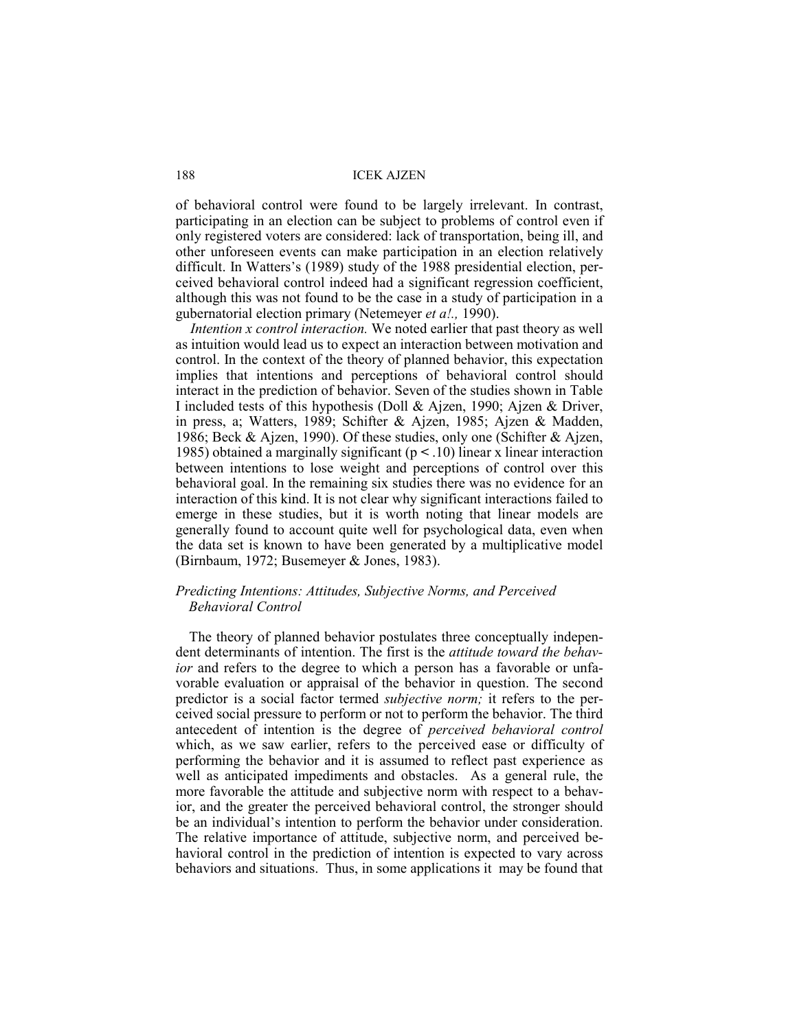of behavioral control were found to be largely irrelevant. In contrast, participating in an election can be subject to problems of control even if only registered voters are considered: lack of transportation, being ill, and other unforeseen events can make participation in an election relatively difficult. In Watters's (1989) study of the 1988 presidential election, perceived behavioral control indeed had a significant regression coefficient, although this was not found to be the case in a study of participation in a gubernatorial election primary (Netemeyer *et a!.,* 1990).

*Intention x control interaction.* We noted earlier that past theory as well as intuition would lead us to expect an interaction between motivation and control. In the context of the theory of planned behavior, this expectation implies that intentions and perceptions of behavioral control should interact in the prediction of behavior. Seven of the studies shown in Table I included tests of this hypothesis (Doll & Ajzen, 1990; Ajzen & Driver, in press, a; Watters, 1989; Schifter & Ajzen, 1985; Ajzen & Madden, 1986; Beck & Ajzen, 1990). Of these studies, only one (Schifter & Ajzen, 1985) obtained a marginally significant (p **<** .10) linear x linear interaction between intentions to lose weight and perceptions of control over this behavioral goal. In the remaining six studies there was no evidence for an interaction of this kind. It is not clear why significant interactions failed to emerge in these studies, but it is worth noting that linear models are generally found to account quite well for psychological data, even when the data set is known to have been generated by a multiplicative model (Birnbaum, 1972; Busemeyer & Jones, 1983).

# *Predicting Intentions: Attitudes, Subjective Norms, and Perceived Behavioral Control*

The theory of planned behavior postulates three conceptually independent determinants of intention. The first is the *attitude toward the behavior* and refers to the degree to which a person has a favorable or unfavorable evaluation or appraisal of the behavior in question. The second predictor is a social factor termed *subjective norm;* it refers to the perceived social pressure to perform or not to perform the behavior. The third antecedent of intention is the degree of *perceived behavioral control* which, as we saw earlier, refers to the perceived ease or difficulty of performing the behavior and it is assumed to reflect past experience as well as anticipated impediments and obstacles. As a general rule, the more favorable the attitude and subjective norm with respect to a behavior, and the greater the perceived behavioral control, the stronger should be an individual's intention to perform the behavior under consideration. The relative importance of attitude, subjective norm, and perceived behavioral control in the prediction of intention is expected to vary across behaviors and situations. Thus, in some applications it may be found that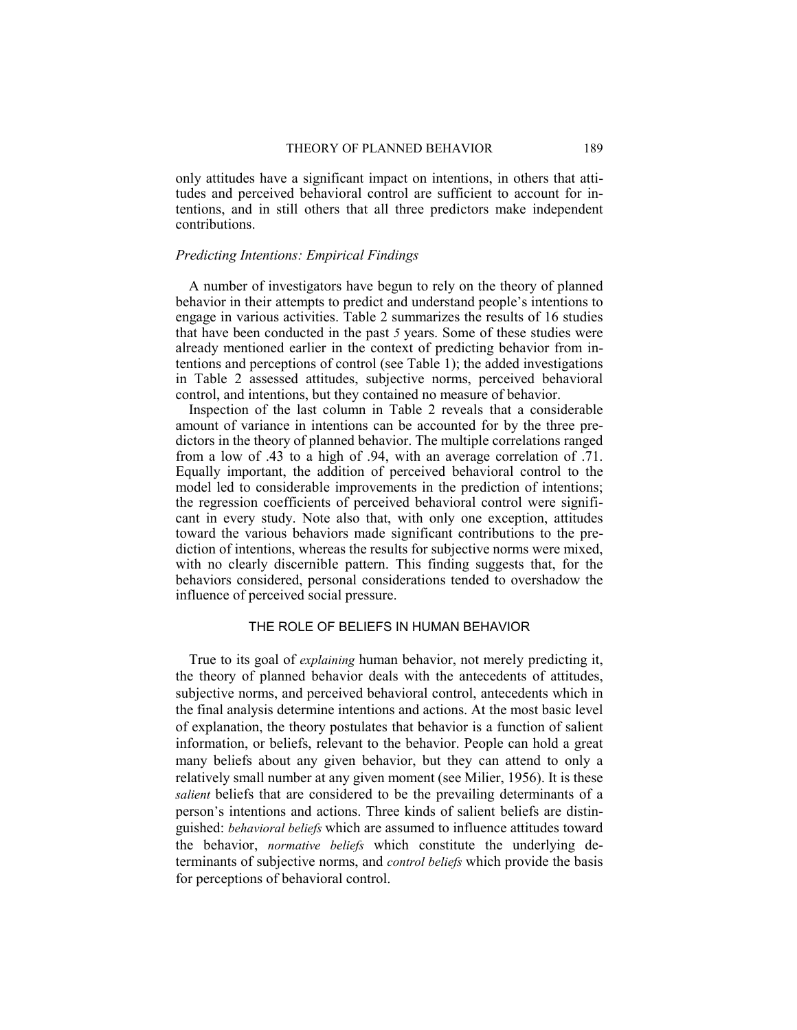only attitudes have a significant impact on intentions, in others that attitudes and perceived behavioral control are sufficient to account for intentions, and in still others that all three predictors make independent contributions.

### *Predicting Intentions: Empirical Findings*

A number of investigators have begun to rely on the theory of planned behavior in their attempts to predict and understand people\*s intentions to engage in various activities. Table 2 summarizes the results of 16 studies that have been conducted in the past *5* years. Some of these studies were already mentioned earlier in the context of predicting behavior from intentions and perceptions of control (see Table 1); the added investigations in Table 2 assessed attitudes, subjective norms, perceived behavioral control, and intentions, but they contained no measure of behavior.

Inspection of the last column in Table 2 reveals that a considerable amount of variance in intentions can be accounted for by the three predictors in the theory of planned behavior. The multiple correlations ranged from a low of .43 to a high of .94, with an average correlation of .71. Equally important, the addition of perceived behavioral control to the model led to considerable improvements in the prediction of intentions; the regression coefficients of perceived behavioral control were significant in every study. Note also that, with only one exception, attitudes toward the various behaviors made significant contributions to the prediction of intentions, whereas the results for subjective norms were mixed, with no clearly discernible pattern. This finding suggests that, for the behaviors considered, personal considerations tended to overshadow the influence of perceived social pressure.

### THE ROLE OF BELIEFS IN HUMAN BEHAVIOR

True to its goal of *explaining* human behavior, not merely predicting it, the theory of planned behavior deals with the antecedents of attitudes, subjective norms, and perceived behavioral control, antecedents which in the final analysis determine intentions and actions. At the most basic level of explanation, the theory postulates that behavior is a function of salient information, or beliefs, relevant to the behavior. People can hold a great many beliefs about any given behavior, but they can attend to only a relatively small number at any given moment (see Milier, 1956). It is these *salient* beliefs that are considered to be the prevailing determinants of a person's intentions and actions. Three kinds of salient beliefs are distinguished: *behavioral beliefs* which are assumed to influence attitudes toward the behavior, *normative beliefs* which constitute the underlying determinants of subjective norms, and *control beliefs* which provide the basis for perceptions of behavioral control.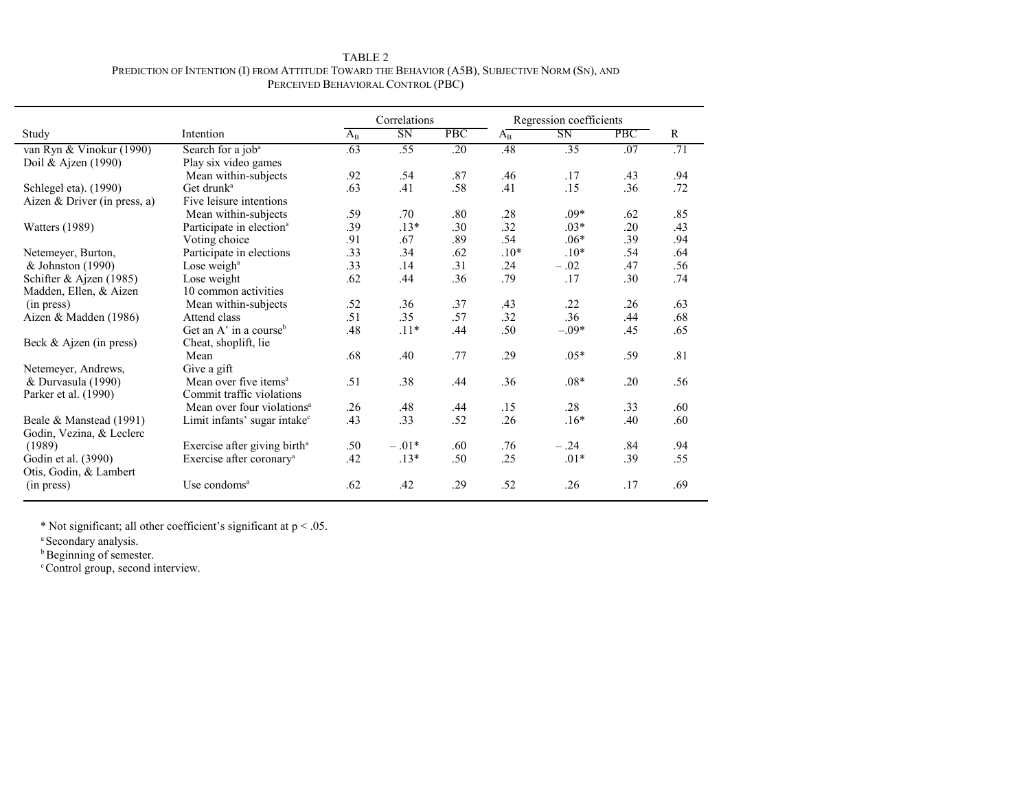TABLE 2<br>Prediction of Intention (I) from Attitude Toward the Behavior (A5B), Subjective Norm (Sn), and PERCEIVED BEHAVIORAL CONTROL (PBC)

|                              |                                          | Correlations |         |            | Regression coefficients |         |     |              |
|------------------------------|------------------------------------------|--------------|---------|------------|-------------------------|---------|-----|--------------|
| Study                        | Intention                                | $A_{\rm R}$  | SN      | <b>PBC</b> | $A_{R}$                 | SΝ      | PBC | $\mathbb{R}$ |
| van Ryn & Vinokur (1990)     | Search for a job <sup>a</sup>            | .63          | .55     | .20        | .48                     | .35     | .07 | .71          |
| Doil & Ajzen $(1990)$        | Play six video games                     |              |         |            |                         |         |     |              |
|                              | Mean within-subjects                     | .92          | .54     | .87        | .46                     | .17     | .43 | .94          |
| Schlegel eta). (1990)        | Get drunk <sup>a</sup>                   | .63          | .41     | .58        | .41                     | .15     | .36 | .72          |
| Aizen & Driver (in press, a) | Five leisure intentions                  |              |         |            |                         |         |     |              |
|                              | Mean within-subjects                     | .59          | .70     | .80        | .28                     | $.09*$  | .62 | .85          |
| <b>Watters</b> (1989)        | Participate in election <sup>a</sup>     | .39          | $.13*$  | .30        | .32                     | $.03*$  | .20 | .43          |
|                              | Voting choice                            | .91          | .67     | .89        | .54                     | $.06*$  | .39 | .94          |
| Netemeyer, Burton,           | Participate in elections                 | .33          | .34     | .62        | $.10*$                  | $.10*$  | .54 | .64          |
| & Johnston (1990)            | Lose weigh $a$                           | .33          | .14     | .31        | .24                     | $-.02$  | .47 | .56          |
| Schifter & Ajzen (1985)      | Lose weight                              | .62          | .44     | .36        | .79                     | .17     | .30 | .74          |
| Madden, Ellen, & Aizen       | 10 common activities                     |              |         |            |                         |         |     |              |
| (in press)                   | Mean within-subjects                     | .52          | .36     | .37        | .43                     | .22     | .26 | .63          |
| Aizen & Madden (1986)        | Attend class                             | .51          | .35     | .57        | .32                     | .36     | .44 | .68          |
|                              | Get an $A'$ in a course <sup>b</sup>     | .48          | $.11*$  | .44        | .50                     | $-.09*$ | .45 | .65          |
| Beck & Ajzen (in press)      | Cheat, shoplift, lie                     |              |         |            |                         |         |     |              |
|                              | Mean                                     | .68          | .40     | .77        | .29                     | $.05*$  | .59 | .81          |
| Netemeyer, Andrews,          | Give a gift                              |              |         |            |                         |         |     |              |
| & Durvasula (1990)           | Mean over five items <sup>a</sup>        | .51          | .38     | .44        | .36                     | $.08*$  | .20 | .56          |
| Parker et al. (1990)         | Commit traffic violations                |              |         |            |                         |         |     |              |
|                              | Mean over four violations <sup>a</sup>   | .26          | .48     | .44        | .15                     | .28     | .33 | .60          |
| Beale & Manstead (1991)      | Limit infants' sugar intake <sup>c</sup> | .43          | .33     | .52        | .26                     | $.16*$  | .40 | .60          |
| Godin, Vezina, & Leclerc     |                                          |              |         |            |                         |         |     |              |
| (1989)                       | Exercise after giving birth <sup>a</sup> | .50          | $-.01*$ | .60        | .76                     | $-.24$  | .84 | .94          |
| Godin et al. (3990)          | Exercise after coronary <sup>a</sup>     | .42          | $.13*$  | .50        | .25                     | $.01*$  | .39 | .55          |
| Otis, Godin, & Lambert       |                                          |              |         |            |                         |         |     |              |
| (in press)                   | Use condoms <sup>a</sup>                 | .62          | .42     | .29        | .52                     | .26     | .17 | .69          |
|                              |                                          |              |         |            |                         |         |     |              |

\* Not significant; all other coefficient's significant at  $p < .05$ .

a Secondary analysis.

Î.

<sup>b</sup> Beginning of semester.

c Control group, second interview.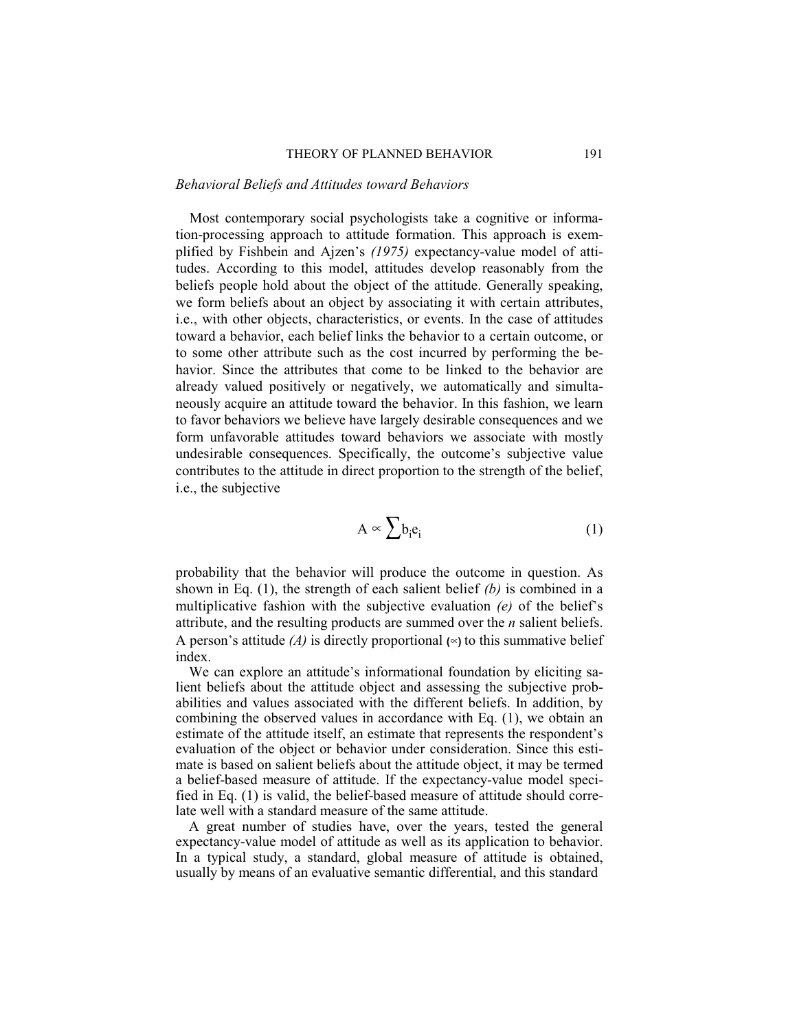# *Behavioral Beliefs and Attitudes toward Behaviors*

Most contemporary social psychologists take a cognitive or information-processing approach to attitude formation. This approach is exemplified by Fishbein and Ajzen\*s *(1975)* expectancy-value model of attitudes. According to this model, attitudes develop reasonably from the beliefs people hold about the object of the attitude. Generally speaking, we form beliefs about an object by associating it with certain attributes, i.e., with other objects, characteristics, or events. In the case of attitudes toward a behavior, each belief links the behavior to a certain outcome, or to some other attribute such as the cost incurred by performing the behavior. Since the attributes that come to be linked to the behavior are already valued positively or negatively, we automatically and simultaneously acquire an attitude toward the behavior. In this fashion, we learn to favor behaviors we believe have largely desirable consequences and we form unfavorable attitudes toward behaviors we associate with mostly undesirable consequences. Specifically, the outcome's subjective value contributes to the attitude in direct proportion to the strength of the belief, i.e., the subjective

$$
A \propto \sum b_i e_i \tag{1}
$$

probability that the behavior will produce the outcome in question. As shown in Eq. (1), the strength of each salient belief *(b)* is combined in a multiplicative fashion with the subjective evaluation *(e)* of the belief's attribute, and the resulting products are summed over the *n* salient beliefs. A person's attitude  $(A)$  is directly proportional  $(\sim)$  to this summative belief index.

We can explore an attitude's informational foundation by eliciting salient beliefs about the attitude object and assessing the subjective probabilities and values associated with the different beliefs. In addition, by combining the observed values in accordance with Eq. (1), we obtain an estimate of the attitude itself, an estimate that represents the respondent's evaluation of the object or behavior under consideration. Since this estimate is based on salient beliefs about the attitude object, it may be termed a belief-based measure of attitude. If the expectancy-value model specified in Eq. (1) is valid, the belief-based measure of attitude should correlate well with a standard measure of the same attitude.

A great number of studies have, over the years, tested the general expectancy-value model of attitude as well as its application to behavior. In a typical study, a standard, global measure of attitude is obtained, usually by means of an evaluative semantic differential, and this standard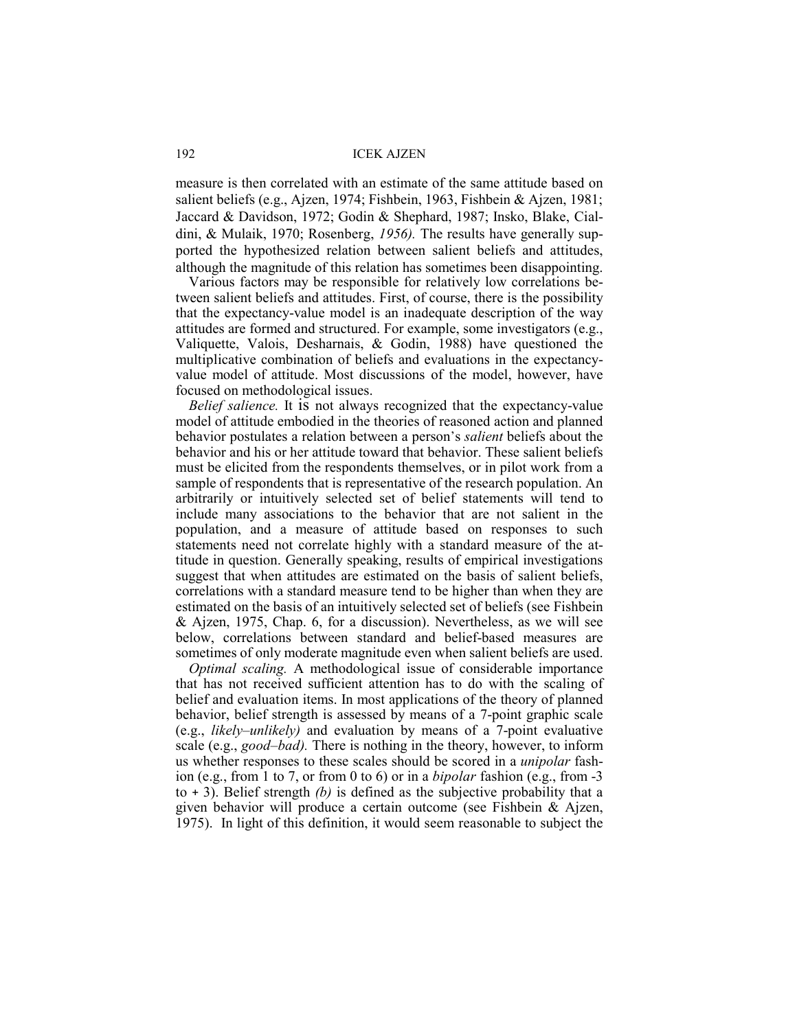measure is then correlated with an estimate of the same attitude based on salient beliefs (e.g., Ajzen, 1974; Fishbein, 1963, Fishbein & Ajzen, 1981; Jaccard & Davidson, 1972; Godin & Shephard, 1987; Insko, Blake, Cialdini, & Mulaik, 1970; Rosenberg, *1956).* The results have generally supported the hypothesized relation between salient beliefs and attitudes, although the magnitude of this relation has sometimes been disappointing.

Various factors may be responsible for relatively low correlations between salient beliefs and attitudes. First, of course, there is the possibility that the expectancy-value model is an inadequate description of the way attitudes are formed and structured. For example, some investigators (e.g., Valiquette, Valois, Desharnais, & Godin, 1988) have questioned the multiplicative combination of beliefs and evaluations in the expectancyvalue model of attitude. Most discussions of the model, however, have focused on methodological issues.

*Belief salience.* It is not always recognized that the expectancy-value model of attitude embodied in the theories of reasoned action and planned behavior postulates a relation between a person\*s *salient* beliefs about the behavior and his or her attitude toward that behavior. These salient beliefs must be elicited from the respondents themselves, or in pilot work from a sample of respondents that is representative of the research population. An arbitrarily or intuitively selected set of belief statements will tend to include many associations to the behavior that are not salient in the population, and a measure of attitude based on responses to such statements need not correlate highly with a standard measure of the attitude in question. Generally speaking, results of empirical investigations suggest that when attitudes are estimated on the basis of salient beliefs, correlations with a standard measure tend to be higher than when they are estimated on the basis of an intuitively selected set of beliefs (see Fishbein & Ajzen, 1975, Chap. 6, for a discussion). Nevertheless, as we will see below, correlations between standard and belief-based measures are sometimes of only moderate magnitude even when salient beliefs are used.

*Optimal scaling.* A methodological issue of considerable importance that has not received sufficient attention has to do with the scaling of belief and evaluation items. In most applications of the theory of planned behavior, belief strength is assessed by means of a 7-point graphic scale (e.g., *likely–unlikely)* and evaluation by means of a 7-point evaluative scale (e.g., *good–bad)*. There is nothing in the theory, however, to inform us whether responses to these scales should be scored in a *unipolar* fashion (e.g., from 1 to 7, or from 0 to 6) or in a *bipolar* fashion (e.g., from -3 to + 3). Belief strength *(b)* is defined as the subjective probability that a given behavior will produce a certain outcome (see Fishbein & Ajzen, 1975). In light of this definition, it would seem reasonable to subject the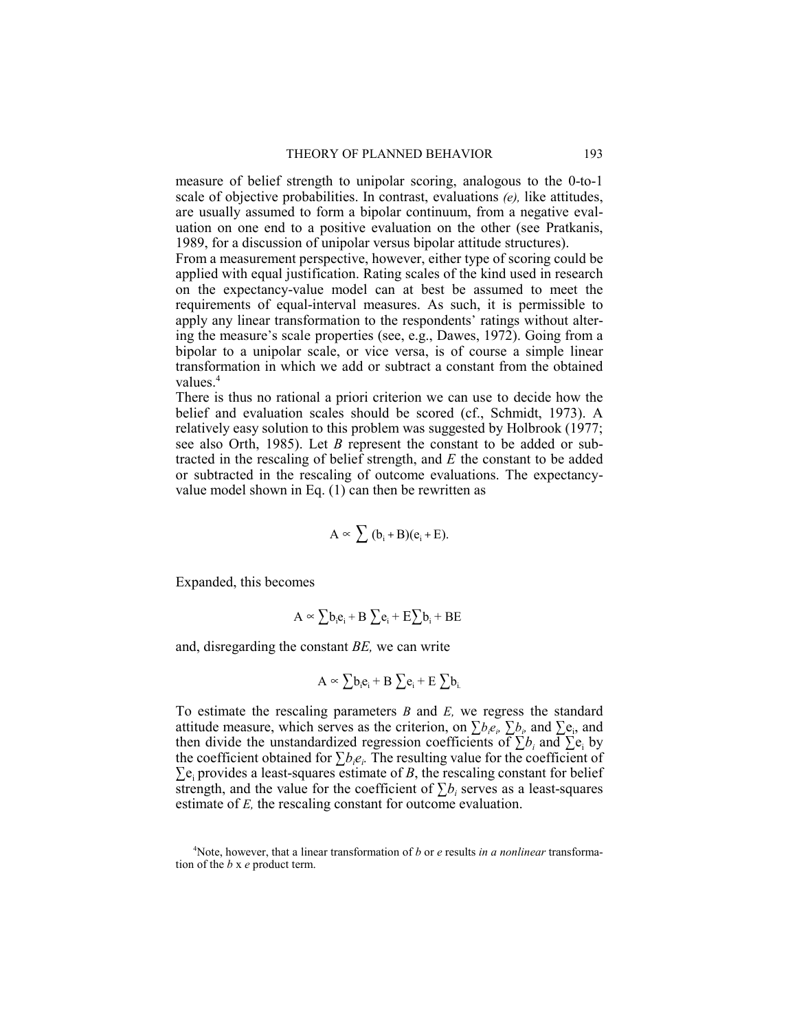measure of belief strength to unipolar scoring, analogous to the 0-to-1 scale of objective probabilities. In contrast, evaluations *(e),* like attitudes, are usually assumed to form a bipolar continuum, from a negative evaluation on one end to a positive evaluation on the other (see Pratkanis, 1989, for a discussion of unipolar versus bipolar attitude structures).

From a measurement perspective, however, either type of scoring could be applied with equal justification. Rating scales of the kind used in research on the expectancy-value model can at best be assumed to meet the requirements of equal-interval measures. As such, it is permissible to apply any linear transformation to the respondents' ratings without altering the measure's scale properties (see, e.g., Dawes, 1972). Going from a bipolar to a unipolar scale, or vice versa, is of course a simple linear transformation in which we add or subtract a constant from the obtained values.4

There is thus no rational a priori criterion we can use to decide how the belief and evaluation scales should be scored (cf., Schmidt, 1973). A relatively easy solution to this problem was suggested by Holbrook (1977; see also Orth, 1985). Let *B* represent the constant to be added or subtracted in the rescaling of belief strength, and *E* the constant to be added or subtracted in the rescaling of outcome evaluations. The expectancyvalue model shown in Eq. (1) can then be rewritten as

$$
A \propto \sum_{i} (b_i + B)(e_i + E).
$$

Expanded, this becomes

$$
A \propto \sum b_i e_i + B \sum e_i + E \sum b_i + BE
$$

and, disregarding the constant *BE,* we can write

$$
A \propto \sum b_i e_i + B \sum e_i + E \sum b_i
$$

To estimate the rescaling parameters *B* and *E,* we regress the standard attitude measure, which serves as the criterion, on  $\sum b_i e_i$ ,  $\sum b_i$  and  $\sum e_i$ , and then divide the unstandardized regression coefficients of  $\sum b_i$  and  $\sum e_i$  by the coefficient obtained for  $\sum b_i e_i$ . The resulting value for the coefficient of  $\Sigma$ e<sub>i</sub> provides a least-squares estimate of *B*, the rescaling constant for belief strength, and the value for the coefficient of  $\sum b_i$  serves as a least-squares estimate of *E*, the rescaling constant for outcome evaluation.

<sup>4</sup> Note, however, that a linear transformation of *b* or *e* results *in a nonlinear* transformation of the *b* x *e* product term.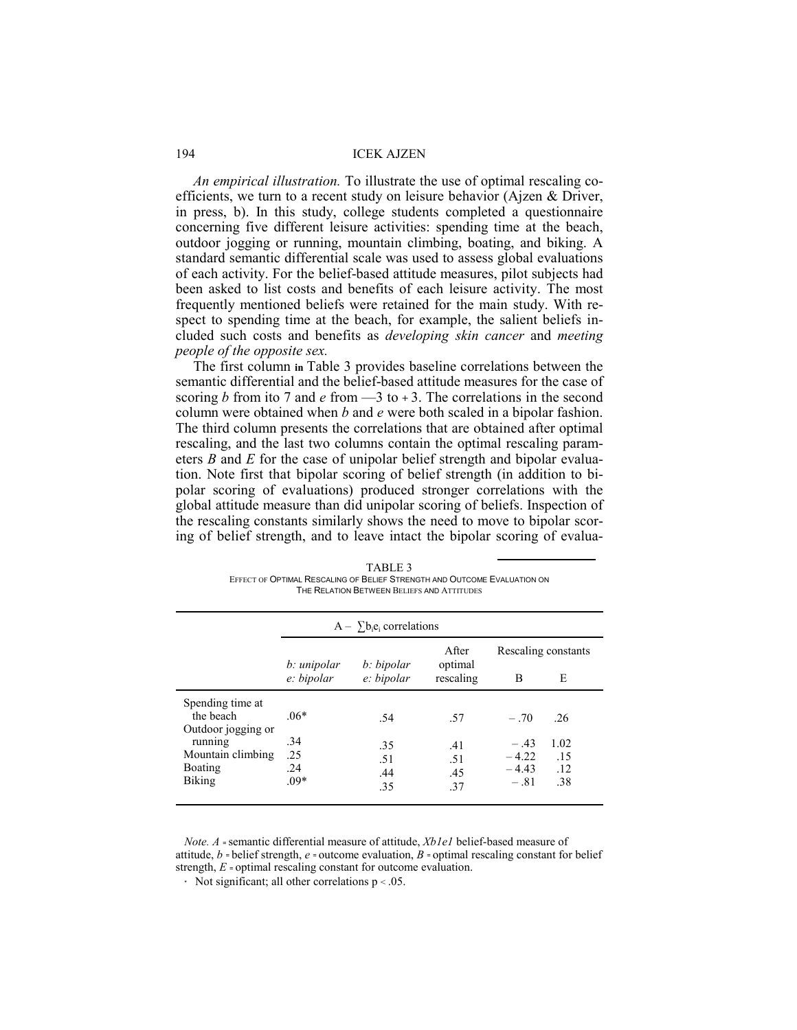*An empirical illustration.* To illustrate the use of optimal rescaling coefficients, we turn to a recent study on leisure behavior (Ajzen & Driver, in press, b). In this study, college students completed a questionnaire concerning five different leisure activities: spending time at the beach, outdoor jogging or running, mountain climbing, boating, and biking. A standard semantic differential scale was used to assess global evaluations of each activity. For the belief-based attitude measures, pilot subjects had been asked to list costs and benefits of each leisure activity. The most frequently mentioned beliefs were retained for the main study. With respect to spending time at the beach, for example, the salient beliefs included such costs and benefits as *developing skin cancer* and *meeting people of the opposite sex.*

The first column **in** Table 3 provides baseline correlations between the semantic differential and the belief-based attitude measures for the case of scoring *b* from ito 7 and *e* from  $-3$  to  $+3$ . The correlations in the second column were obtained when *b* and *e* were both scaled in a bipolar fashion. The third column presents the correlations that are obtained after optimal rescaling, and the last two columns contain the optimal rescaling parameters *B* and *E* for the case of unipolar belief strength and bipolar evaluation. Note first that bipolar scoring of belief strength (in addition to bipolar scoring of evaluations) produced stronger correlations with the global attitude measure than did unipolar scoring of beliefs. Inspection of the rescaling constants similarly shows the need to move to bipolar scoring of belief strength, and to leave intact the bipolar scoring of evalua-

| $A - \sum b_i e_i$ correlations                     |                             |                          |                          |                                        |                           |  |  |  |
|-----------------------------------------------------|-----------------------------|--------------------------|--------------------------|----------------------------------------|---------------------------|--|--|--|
|                                                     |                             |                          | After<br>optimal         | Rescaling constants                    |                           |  |  |  |
|                                                     | b: unipolar<br>e: bipolar   | b: bipolar<br>e: bipolar | rescaling                | B                                      | E                         |  |  |  |
| Spending time at<br>the beach<br>Outdoor jogging or | $.06*$                      | .54                      | .57                      | $-.70$                                 | .26                       |  |  |  |
| running<br>Mountain climbing<br>Boating<br>Biking   | .34<br>.25<br>.24<br>$.09*$ | .35<br>.51<br>.44<br>.35 | .41<br>.51<br>.45<br>.37 | $-.43$<br>$-4.22$<br>$-4.43$<br>$-.81$ | 1.02<br>.15<br>.12<br>.38 |  |  |  |

TABLE 3 EFFECT OF OPTIMAL RESCALING OF BELIEF STRENGTH AND OUTCOME EVALUATION ON THE RELATION BETWEEN BELIEFS AND ATTITUDES

*Note. A* = semantic differential measure of attitude, *Xb1e1* belief-based measure of attitude,  $b = \text{belief strength}, e = \text{outcome evaluation}, B = \text{optimal rescaling constant for belief}$ strength,  $E$  = optimal rescaling constant for outcome evaluation.

 $\cdot$  Not significant; all other correlations p < .05.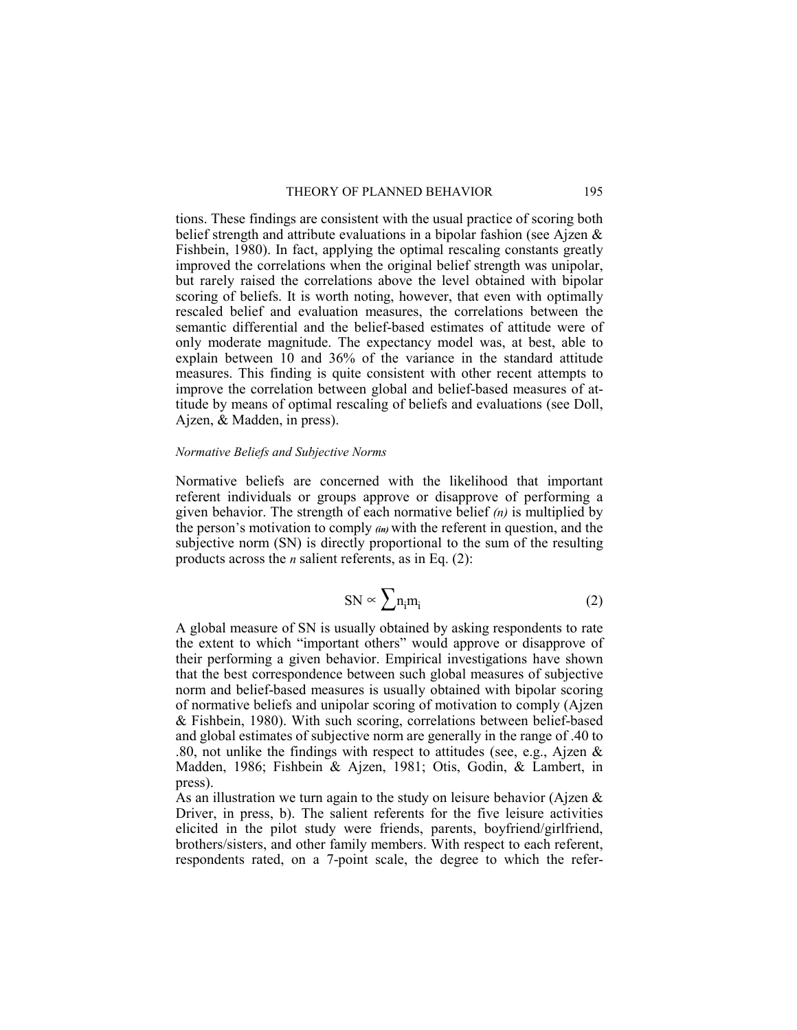tions. These findings are consistent with the usual practice of scoring both belief strength and attribute evaluations in a bipolar fashion (see Ajzen & Fishbein, 1980). In fact, applying the optimal rescaling constants greatly improved the correlations when the original belief strength was unipolar, but rarely raised the correlations above the level obtained with bipolar scoring of beliefs. It is worth noting, however, that even with optimally rescaled belief and evaluation measures, the correlations between the semantic differential and the belief-based estimates of attitude were of only moderate magnitude. The expectancy model was, at best, able to explain between 10 and 36% of the variance in the standard attitude measures. This finding is quite consistent with other recent attempts to improve the correlation between global and belief-based measures of attitude by means of optimal rescaling of beliefs and evaluations (see Doll, Ajzen, & Madden, in press).

### *Normative Beliefs and Subjective Norms*

Normative beliefs are concerned with the likelihood that important referent individuals or groups approve or disapprove of performing a given behavior. The strength of each normative belief *(n)* is multiplied by the person's motivation to comply  $(n)$  with the referent in question, and the subjective norm (SN) is directly proportional to the sum of the resulting products across the *n* salient referents, as in Eq. (2):

$$
SN \propto \sum n_i m_i \tag{2}
$$

A global measure of SN is usually obtained by asking respondents to rate the extent to which "important others" would approve or disapprove of their performing a given behavior. Empirical investigations have shown that the best correspondence between such global measures of subjective norm and belief-based measures is usually obtained with bipolar scoring of normative beliefs and unipolar scoring of motivation to comply (Ajzen & Fishbein, 1980). With such scoring, correlations between belief-based and global estimates of subjective norm are generally in the range of .40 to .80, not unlike the findings with respect to attitudes (see, e.g., Ajzen & Madden, 1986; Fishbein & Ajzen, 1981; Otis, Godin, & Lambert, in press).

As an illustration we turn again to the study on leisure behavior (Ajzen & Driver, in press, b). The salient referents for the five leisure activities elicited in the pilot study were friends, parents, boyfriend/girlfriend, brothers/sisters, and other family members. With respect to each referent, respondents rated, on a 7-point scale, the degree to which the refer-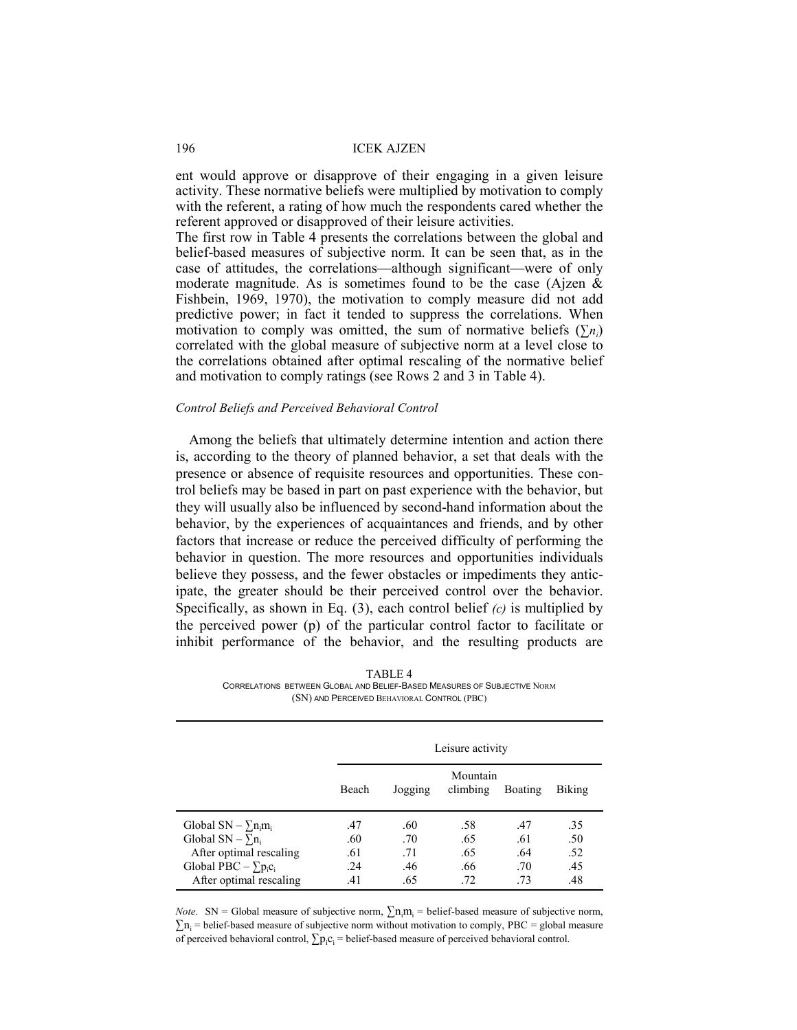ent would approve or disapprove of their engaging in a given leisure activity. These normative beliefs were multiplied by motivation to comply with the referent, a rating of how much the respondents cared whether the referent approved or disapproved of their leisure activities.

The first row in Table 4 presents the correlations between the global and belief-based measures of subjective norm. It can be seen that, as in the case of attitudes, the correlations—although significant—were of only moderate magnitude. As is sometimes found to be the case (Ajzen & Fishbein, 1969, 1970), the motivation to comply measure did not add predictive power; in fact it tended to suppress the correlations. When motivation to comply was omitted, the sum of normative beliefs  $(\sum n_i)$ correlated with the global measure of subjective norm at a level close to the correlations obtained after optimal rescaling of the normative belief and motivation to comply ratings (see Rows 2 and 3 in Table 4).

### *Control Beliefs and Perceived Behavioral Control*

Global SN –  $\Sigma$ n<sub>i</sub> After optimal rescaling Global PBC –  $\sum p_i c_i$ After optimal rescaling

Among the beliefs that ultimately determine intention and action there is, according to the theory of planned behavior, a set that deals with the presence or absence of requisite resources and opportunities. These control beliefs may be based in part on past experience with the behavior, but they will usually also be influenced by second-hand information about the behavior, by the experiences of acquaintances and friends, and by other factors that increase or reduce the perceived difficulty of performing the behavior in question. The more resources and opportunities individuals believe they possess, and the fewer obstacles or impediments they anticipate, the greater should be their perceived control over the behavior. Specifically, as shown in Eq. (3), each control belief *(c)* is multiplied by the perceived power (p) of the particular control factor to facilitate or inhibit performance of the behavior, and the resulting products are

|                            |       |         | Leisure activity     |                |               |
|----------------------------|-------|---------|----------------------|----------------|---------------|
|                            | Beach | Jogging | Mountain<br>climbing | <b>Boating</b> | <b>Biking</b> |
| Global SN – $\sum n_i m_i$ | .47   | .60     | .58                  | .47            | .35           |

.70 .71 .46 .65 .65 .65 .66 .72 .61 .64 .70 .73

.50 .52 .45 .48

.60 .61 .24 .41

TABLE 4 CORRELATIONS BETWEEN GLOBAL AND BELIEF-BASED MEASURES OF SUBJECTIVE NORM (SN) AND PERCEIVED BEHAVIORAL CONTROL (PBC)

*Note.* SN = Global measure of subjective norm,  $\sum n_i m_i$  = belief-based measure of subjective norm,  $\sum n_i$  = belief-based measure of subjective norm without motivation to comply, PBC = global measure of perceived behavioral control,  $\sum p_i c_i$  = belief-based measure of perceived behavioral control.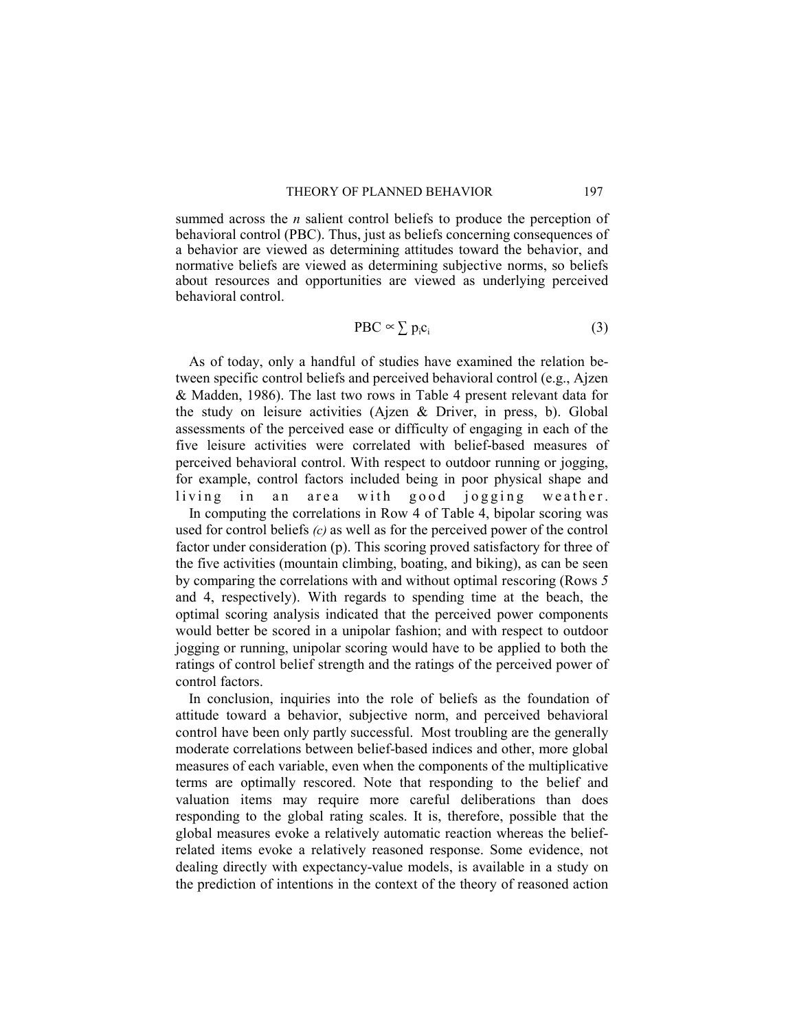summed across the *n* salient control beliefs to produce the perception of behavioral control (PBC). Thus, just as beliefs concerning consequences of a behavior are viewed as determining attitudes toward the behavior, and normative beliefs are viewed as determining subjective norms, so beliefs about resources and opportunities are viewed as underlying perceived behavioral control.

$$
PBC \propto \sum p_i c_i \tag{3}
$$

As of today, only a handful of studies have examined the relation between specific control beliefs and perceived behavioral control (e.g., Ajzen & Madden, 1986). The last two rows in Table 4 present relevant data for the study on leisure activities (Ajzen & Driver, in press, b). Global assessments of the perceived ease or difficulty of engaging in each of the five leisure activities were correlated with belief-based measures of perceived behavioral control. With respect to outdoor running or jogging, for example, control factors included being in poor physical shape and living in an area with good jogging weather.

In computing the correlations in Row 4 of Table 4, bipolar scoring was used for control beliefs *(c)* as well as for the perceived power of the control factor under consideration (p). This scoring proved satisfactory for three of the five activities (mountain climbing, boating, and biking), as can be seen by comparing the correlations with and without optimal rescoring (Rows *5* and 4, respectively). With regards to spending time at the beach, the optimal scoring analysis indicated that the perceived power components would better be scored in a unipolar fashion; and with respect to outdoor jogging or running, unipolar scoring would have to be applied to both the ratings of control belief strength and the ratings of the perceived power of control factors.

In conclusion, inquiries into the role of beliefs as the foundation of attitude toward a behavior, subjective norm, and perceived behavioral control have been only partly successful. Most troubling are the generally moderate correlations between belief-based indices and other, more global measures of each variable, even when the components of the multiplicative terms are optimally rescored. Note that responding to the belief and valuation items may require more careful deliberations than does responding to the global rating scales. It is, therefore, possible that the global measures evoke a relatively automatic reaction whereas the beliefrelated items evoke a relatively reasoned response. Some evidence, not dealing directly with expectancy-value models, is available in a study on the prediction of intentions in the context of the theory of reasoned action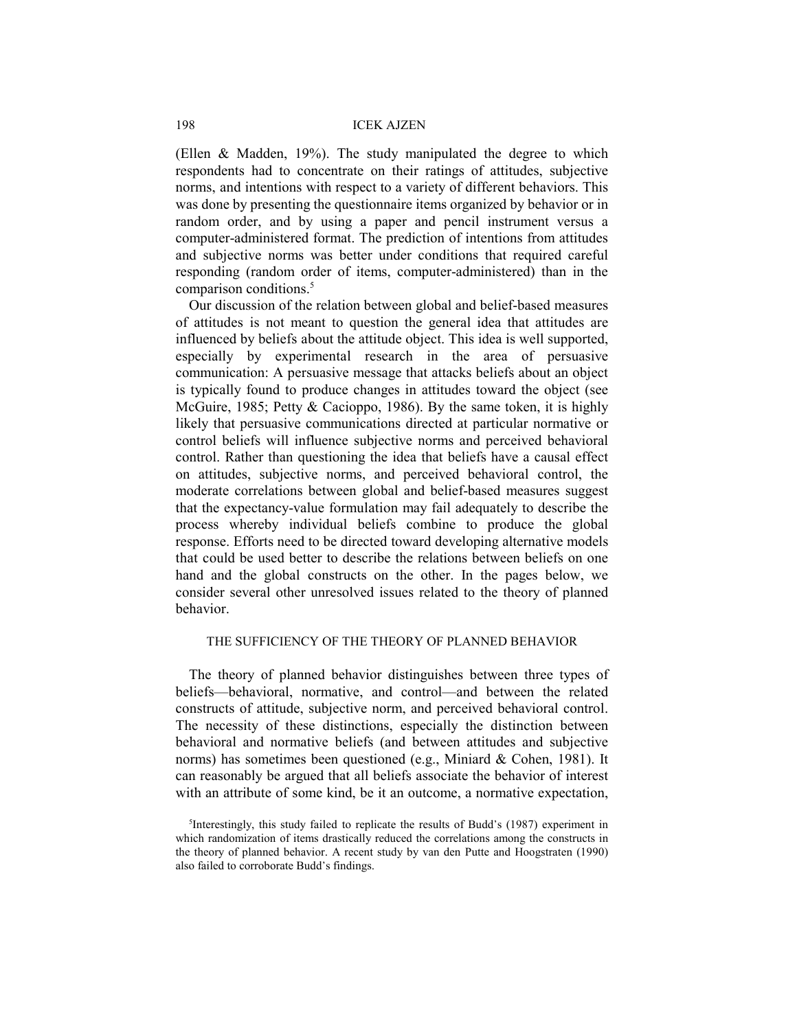(Ellen & Madden, 19%). The study manipulated the degree to which respondents had to concentrate on their ratings of attitudes, subjective norms, and intentions with respect to a variety of different behaviors. This was done by presenting the questionnaire items organized by behavior or in random order, and by using a paper and pencil instrument versus a computer-administered format. The prediction of intentions from attitudes and subjective norms was better under conditions that required careful responding (random order of items, computer-administered) than in the comparison conditions.<sup>5</sup>

Our discussion of the relation between global and belief-based measures of attitudes is not meant to question the general idea that attitudes are influenced by beliefs about the attitude object. This idea is well supported, especially by experimental research in the area of persuasive communication: A persuasive message that attacks beliefs about an object is typically found to produce changes in attitudes toward the object (see McGuire, 1985; Petty & Cacioppo, 1986). By the same token, it is highly likely that persuasive communications directed at particular normative or control beliefs will influence subjective norms and perceived behavioral control. Rather than questioning the idea that beliefs have a causal effect on attitudes, subjective norms, and perceived behavioral control, the moderate correlations between global and belief-based measures suggest that the expectancy-value formulation may fail adequately to describe the process whereby individual beliefs combine to produce the global response. Efforts need to be directed toward developing alternative models that could be used better to describe the relations between beliefs on one hand and the global constructs on the other. In the pages below, we consider several other unresolved issues related to the theory of planned behavior.

### THE SUFFICIENCY OF THE THEORY OF PLANNED BEHAVIOR

The theory of planned behavior distinguishes between three types of beliefs—behavioral, normative, and control—and between the related constructs of attitude, subjective norm, and perceived behavioral control. The necessity of these distinctions, especially the distinction between behavioral and normative beliefs (and between attitudes and subjective norms) has sometimes been questioned (e.g., Miniard & Cohen, 1981). It can reasonably be argued that all beliefs associate the behavior of interest with an attribute of some kind, be it an outcome, a normative expectation,

<sup>&</sup>lt;sup>5</sup>Interestingly, this study failed to replicate the results of Budd's (1987) experiment in which randomization of items drastically reduced the correlations among the constructs in the theory of planned behavior. A recent study by van den Putte and Hoogstraten (1990) also failed to corroborate Budd's findings.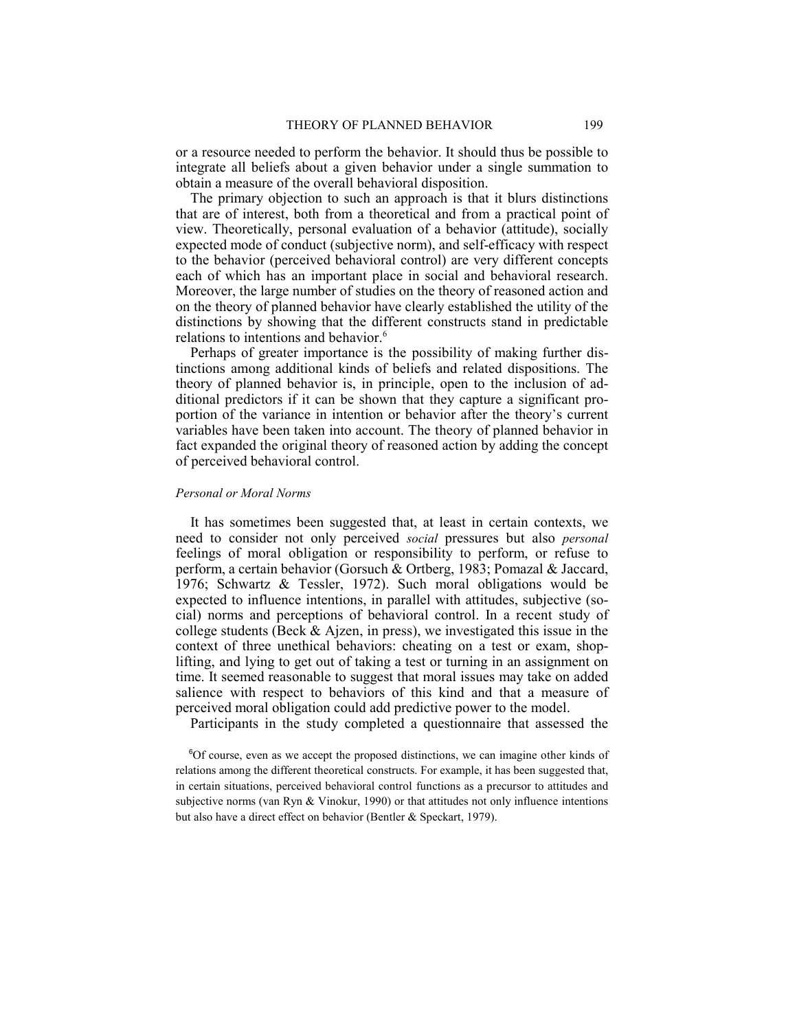or a resource needed to perform the behavior. It should thus be possible to integrate all beliefs about a given behavior under a single summation to obtain a measure of the overall behavioral disposition.

The primary objection to such an approach is that it blurs distinctions that are of interest, both from a theoretical and from a practical point of view. Theoretically, personal evaluation of a behavior (attitude), socially expected mode of conduct (subjective norm), and self-efficacy with respect to the behavior (perceived behavioral control) are very different concepts each of which has an important place in social and behavioral research. Moreover, the large number of studies on the theory of reasoned action and on the theory of planned behavior have clearly established the utility of the distinctions by showing that the different constructs stand in predictable relations to intentions and behavior.<sup>6</sup>

Perhaps of greater importance is the possibility of making further distinctions among additional kinds of beliefs and related dispositions. The theory of planned behavior is, in principle, open to the inclusion of additional predictors if it can be shown that they capture a significant proportion of the variance in intention or behavior after the theory's current variables have been taken into account. The theory of planned behavior in fact expanded the original theory of reasoned action by adding the concept of perceived behavioral control.

### *Personal or Moral Norms*

It has sometimes been suggested that, at least in certain contexts, we need to consider not only perceived *social* pressures but also *personal* feelings of moral obligation or responsibility to perform, or refuse to perform, a certain behavior (Gorsuch & Ortberg, 1983; Pomazal & Jaccard, 1976; Schwartz & Tessler, 1972). Such moral obligations would be expected to influence intentions, in parallel with attitudes, subjective (social) norms and perceptions of behavioral control. In a recent study of college students (Beck  $\&$  Ajzen, in press), we investigated this issue in the context of three unethical behaviors: cheating on a test or exam, shoplifting, and lying to get out of taking a test or turning in an assignment on time. It seemed reasonable to suggest that moral issues may take on added salience with respect to behaviors of this kind and that a measure of perceived moral obligation could add predictive power to the model.

Participants in the study completed a questionnaire that assessed the

<sup>6</sup> Of course, even as we accept the proposed distinctions, we can imagine other kinds of relations among the different theoretical constructs. For example, it has been suggested that, in certain situations, perceived behavioral control functions as a precursor to attitudes and subjective norms (van Ryn & Vinokur, 1990) or that attitudes not only influence intentions but also have a direct effect on behavior (Bentler & Speckart, 1979).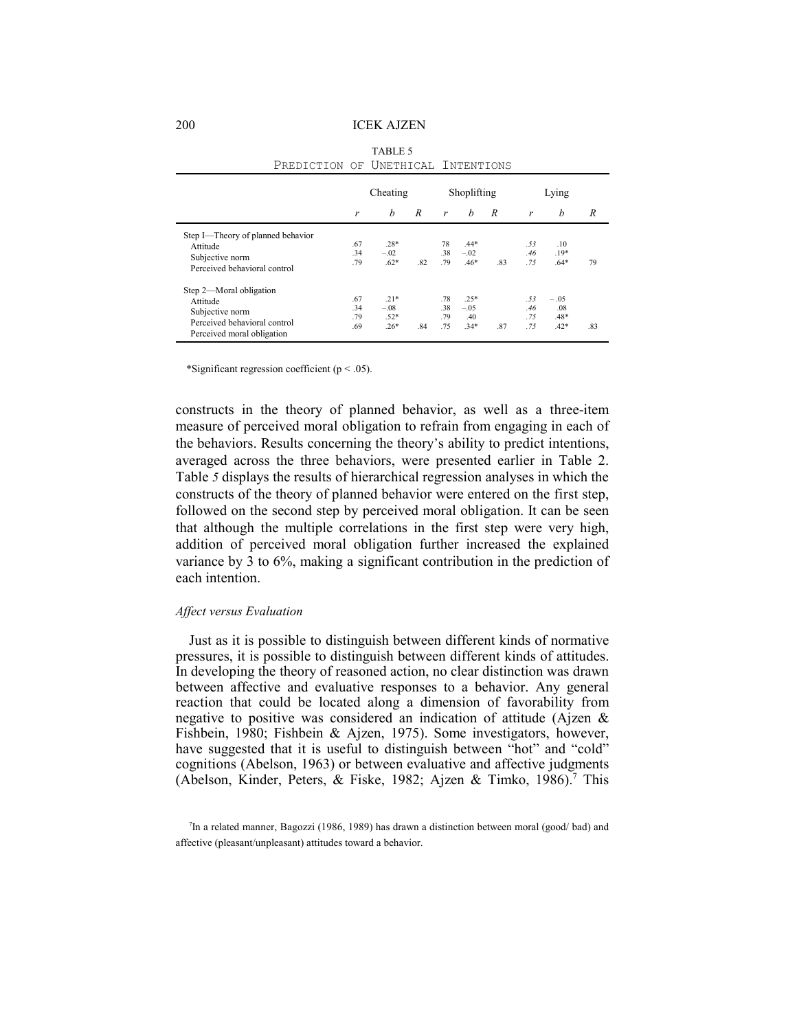|                                                                                                                      | Cheating                |                                     |                | Shoplifting              |                                   |                  | Lying                    |                                   |     |
|----------------------------------------------------------------------------------------------------------------------|-------------------------|-------------------------------------|----------------|--------------------------|-----------------------------------|------------------|--------------------------|-----------------------------------|-----|
|                                                                                                                      | r                       | $\boldsymbol{h}$                    | $\overline{R}$ | r                        | $\boldsymbol{h}$                  | $\boldsymbol{R}$ | r                        | b                                 | R   |
| Step I—Theory of planned behavior<br>Attitude<br>Subjective norm<br>Perceived behavioral control                     | .67<br>.34<br>.79       | $.28*$<br>$-.02$<br>$.62*$          | .82            | 78<br>.38<br>79          | $.44*$<br>$-.02$<br>$46*$         | .83              | .53<br>.46<br>.75        | .10<br>$.19*$<br>$64*$            | 79  |
| Step 2—Moral obligation<br>Attitude<br>Subjective norm<br>Perceived behavioral control<br>Perceived moral obligation | 67<br>.34<br>.79<br>.69 | $21*$<br>$-.08$<br>$.52*$<br>$.26*$ | .84            | .78<br>.38<br>.79<br>.75 | $2.5*$<br>$-0.5$<br>.40<br>$.34*$ | .87              | .53<br>.46<br>.75<br>.75 | $-.05$<br>.08<br>$.48*$<br>$.42*$ | .83 |

TABLE 5 PREDICTION OF UNETHICAL INTENTIONS

\*Significant regression coefficient ( $p < .05$ ).

constructs in the theory of planned behavior, as well as a three-item measure of perceived moral obligation to refrain from engaging in each of the behaviors. Results concerning the theory's ability to predict intentions, averaged across the three behaviors, were presented earlier in Table 2. Table *5* displays the results of hierarchical regression analyses in which the constructs of the theory of planned behavior were entered on the first step, followed on the second step by perceived moral obligation. It can be seen that although the multiple correlations in the first step were very high, addition of perceived moral obligation further increased the explained variance by 3 to 6%, making a significant contribution in the prediction of each intention.

### *Affect versus Evaluation*

Just as it is possible to distinguish between different kinds of normative pressures, it is possible to distinguish between different kinds of attitudes. In developing the theory of reasoned action, no clear distinction was drawn between affective and evaluative responses to a behavior. Any general reaction that could be located along a dimension of favorability from negative to positive was considered an indication of attitude (Ajzen & Fishbein, 1980; Fishbein & Ajzen, 1975). Some investigators, however, have suggested that it is useful to distinguish between "hot" and "cold" cognitions (Abelson, 1963) or between evaluative and affective judgments (Abelson, Kinder, Peters, & Fiske, 1982; Ajzen & Timko, 1986).7 This

<sup>7</sup> In a related manner, Bagozzi (1986, 1989) has drawn a distinction between moral (good/ bad) and affective (pleasant/unpleasant) attitudes toward a behavior.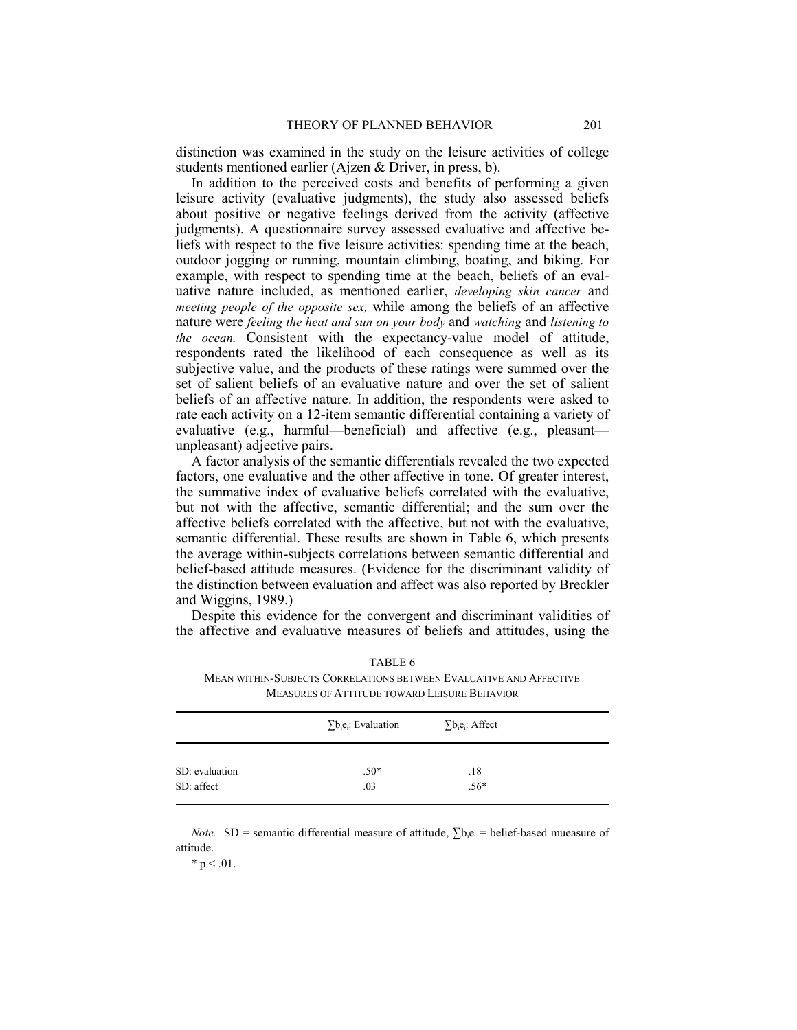distinction was examined in the study on the leisure activities of college students mentioned earlier (Ajzen & Driver, in press, b).

In addition to the perceived costs and benefits of performing a given leisure activity (evaluative judgments), the study also assessed beliefs about positive or negative feelings derived from the activity (affective judgments). A questionnaire survey assessed evaluative and affective beliefs with respect to the five leisure activities: spending time at the beach, outdoor jogging or running, mountain climbing, boating, and biking. For example, with respect to spending time at the beach, beliefs of an evaluative nature included, as mentioned earlier, *developing skin cancer* and *meeting people of the opposite sex,* while among the beliefs of an affective nature were *feeling the heat and sun on your body* and *watching* and *listening to the ocean.* Consistent with the expectancy-value model of attitude, respondents rated the likelihood of each consequence as well as its subjective value, and the products of these ratings were summed over the set of salient beliefs of an evaluative nature and over the set of salient beliefs of an affective nature. In addition, the respondents were asked to rate each activity on a 12-item semantic differential containing a variety of evaluative (e.g., harmful—beneficial) and affective (e.g., pleasant unpleasant) adjective pairs.

A factor analysis of the semantic differentials revealed the two expected factors, one evaluative and the other affective in tone. Of greater interest, the summative index of evaluative beliefs correlated with the evaluative, but not with the affective, semantic differential; and the sum over the affective beliefs correlated with the affective, but not with the evaluative, semantic differential. These results are shown in Table 6, which presents the average within-subjects correlations between semantic differential and belief-based attitude measures. (Evidence for the discriminant validity of the distinction between evaluation and affect was also reported by Breckler and Wiggins, 1989.)

Despite this evidence for the convergent and discriminant validities of the affective and evaluative measures of beliefs and attitudes, using the

|                | $\sum b_i$ : Evaluation | $\sum b_i e_i$ : Affect |
|----------------|-------------------------|-------------------------|
| SD: evaluation | $.50*$                  | .18                     |
| SD: affect     | .03                     | $.56*$                  |

TABLE 6 MEAN WITHIN-SUBJECTS CORRELATIONS BETWEEN EVALUATIVE AND AFFECTIVE MEASURES OF ATTITUDE TOWARD LEISURE BEHAVIOR

*Note.* SD = semantic differential measure of attitude,  $\sum b_i e_i$  = belief-based mueasure of attitude.

 $* p < .01$ .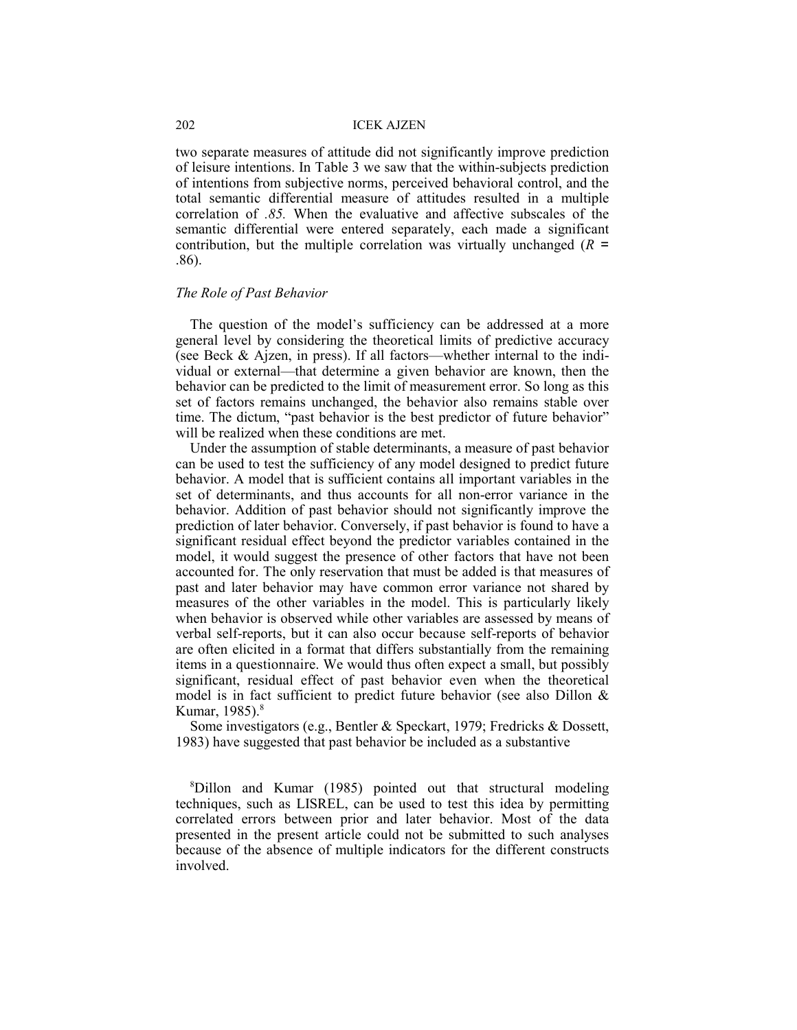two separate measures of attitude did not significantly improve prediction of leisure intentions. In Table 3 we saw that the within-subjects prediction of intentions from subjective norms, perceived behavioral control, and the total semantic differential measure of attitudes resulted in a multiple correlation of *.85.* When the evaluative and affective subscales of the semantic differential were entered separately, each made a significant contribution, but the multiple correlation was virtually unchanged (*R* = .86).

### *The Role of Past Behavior*

The question of the model's sufficiency can be addressed at a more general level by considering the theoretical limits of predictive accuracy (see Beck  $& A$  *jzen, in press*). If all factors—whether internal to the individual or external—that determine a given behavior are known, then the behavior can be predicted to the limit of measurement error. So long as this set of factors remains unchanged, the behavior also remains stable over time. The dictum, "past behavior is the best predictor of future behavior" will be realized when these conditions are met.

Under the assumption of stable determinants, a measure of past behavior can be used to test the sufficiency of any model designed to predict future behavior. A model that is sufficient contains all important variables in the set of determinants, and thus accounts for all non-error variance in the behavior. Addition of past behavior should not significantly improve the prediction of later behavior. Conversely, if past behavior is found to have a significant residual effect beyond the predictor variables contained in the model, it would suggest the presence of other factors that have not been accounted for. The only reservation that must be added is that measures of past and later behavior may have common error variance not shared by measures of the other variables in the model. This is particularly likely when behavior is observed while other variables are assessed by means of verbal self-reports, but it can also occur because self-reports of behavior are often elicited in a format that differs substantially from the remaining items in a questionnaire. We would thus often expect a small, but possibly significant, residual effect of past behavior even when the theoretical model is in fact sufficient to predict future behavior (see also Dillon & Kumar, 1985). $8$ 

Some investigators (e.g., Bentler & Speckart, 1979; Fredricks & Dossett, 1983) have suggested that past behavior be included as a substantive

<sup>8</sup>Dillon and Kumar (1985) pointed out that structural modeling techniques, such as LISREL, can be used to test this idea by permitting correlated errors between prior and later behavior. Most of the data presented in the present article could not be submitted to such analyses because of the absence of multiple indicators for the different constructs involved.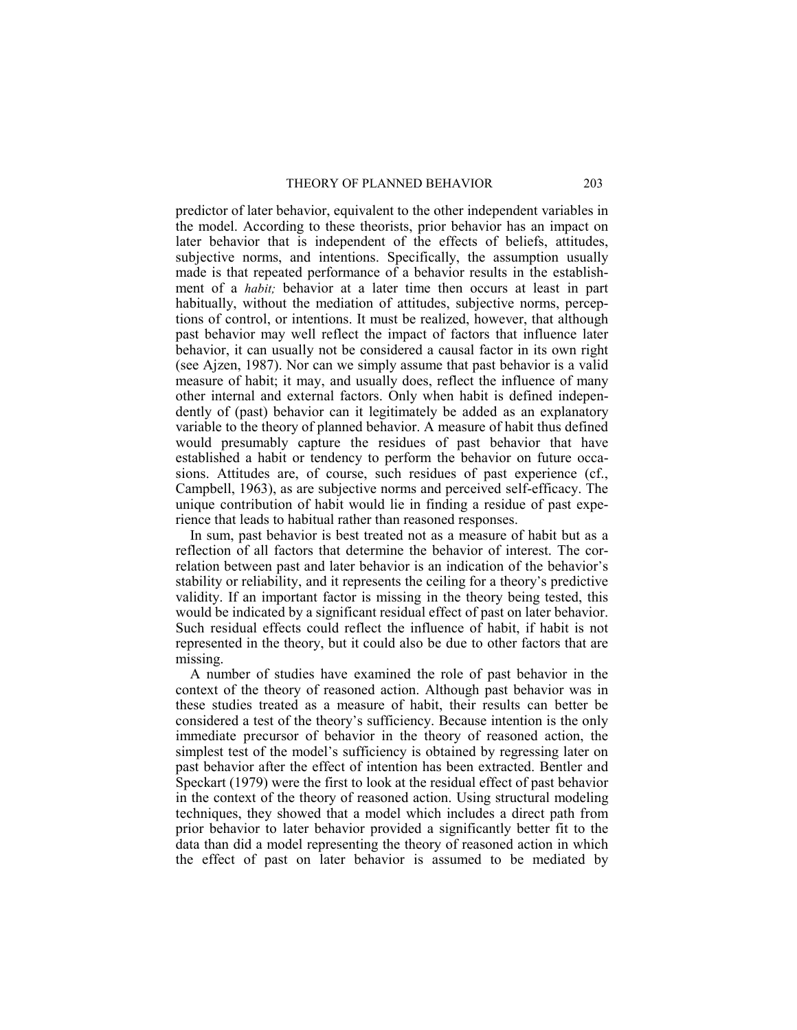predictor of later behavior, equivalent to the other independent variables in the model. According to these theorists, prior behavior has an impact on later behavior that is independent of the effects of beliefs, attitudes, subjective norms, and intentions. Specifically, the assumption usually made is that repeated performance of a behavior results in the establishment of a *habit;* behavior at a later time then occurs at least in part habitually, without the mediation of attitudes, subjective norms, perceptions of control, or intentions. It must be realized, however, that although past behavior may well reflect the impact of factors that influence later behavior, it can usually not be considered a causal factor in its own right (see Ajzen, 1987). Nor can we simply assume that past behavior is a valid measure of habit; it may, and usually does, reflect the influence of many other internal and external factors. Only when habit is defined independently of (past) behavior can it legitimately be added as an explanatory variable to the theory of planned behavior. A measure of habit thus defined would presumably capture the residues of past behavior that have established a habit or tendency to perform the behavior on future occasions. Attitudes are, of course, such residues of past experience (cf., Campbell, 1963), as are subjective norms and perceived self-efficacy. The unique contribution of habit would lie in finding a residue of past experience that leads to habitual rather than reasoned responses.

In sum, past behavior is best treated not as a measure of habit but as a reflection of all factors that determine the behavior of interest. The correlation between past and later behavior is an indication of the behavior's stability or reliability, and it represents the ceiling for a theory's predictive validity. If an important factor is missing in the theory being tested, this would be indicated by a significant residual effect of past on later behavior. Such residual effects could reflect the influence of habit, if habit is not represented in the theory, but it could also be due to other factors that are missing.

A number of studies have examined the role of past behavior in the context of the theory of reasoned action. Although past behavior was in these studies treated as a measure of habit, their results can better be considered a test of the theory's sufficiency. Because intention is the only immediate precursor of behavior in the theory of reasoned action, the simplest test of the model's sufficiency is obtained by regressing later on past behavior after the effect of intention has been extracted. Bentler and Speckart (1979) were the first to look at the residual effect of past behavior in the context of the theory of reasoned action. Using structural modeling techniques, they showed that a model which includes a direct path from prior behavior to later behavior provided a significantly better fit to the data than did a model representing the theory of reasoned action in which the effect of past on later behavior is assumed to be mediated by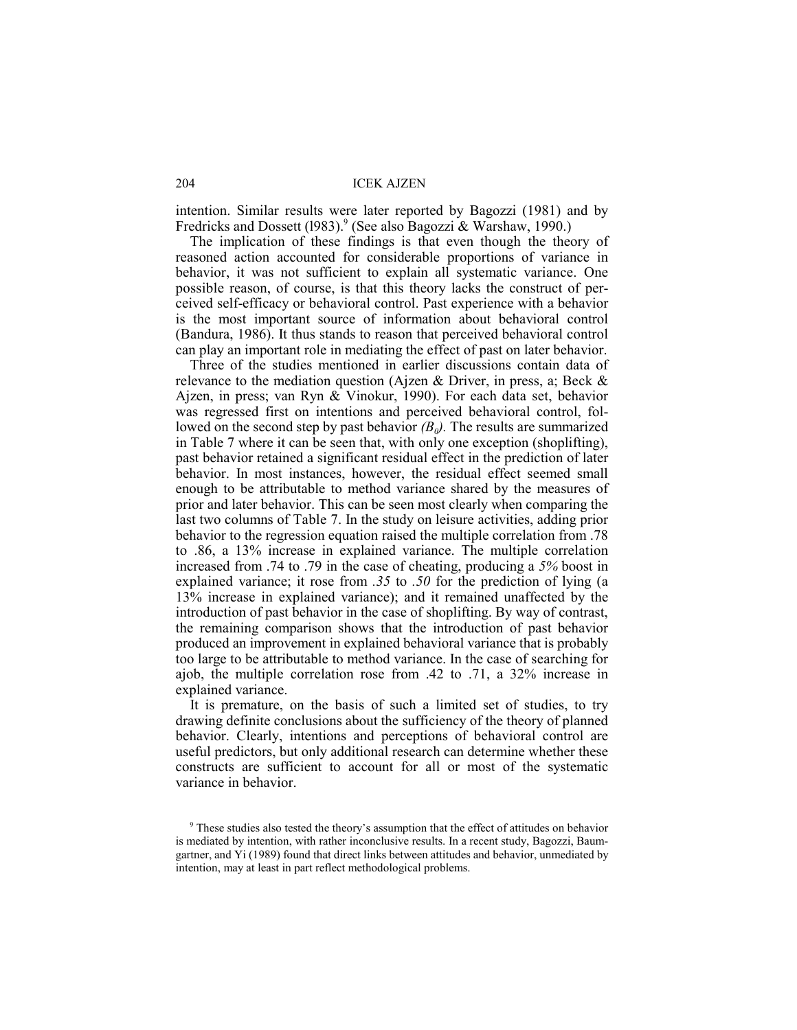intention. Similar results were later reported by Bagozzi (1981) and by Fredricks and Dossett (1983).<sup>9</sup> (See also Bagozzi & Warshaw, 1990.)

The implication of these findings is that even though the theory of reasoned action accounted for considerable proportions of variance in behavior, it was not sufficient to explain all systematic variance. One possible reason, of course, is that this theory lacks the construct of perceived self-efficacy or behavioral control. Past experience with a behavior is the most important source of information about behavioral control (Bandura, 1986). It thus stands to reason that perceived behavioral control can play an important role in mediating the effect of past on later behavior.

Three of the studies mentioned in earlier discussions contain data of relevance to the mediation question (Ajzen & Driver, in press, a; Beck & Ajzen, in press; van Ryn & Vinokur, 1990). For each data set, behavior was regressed first on intentions and perceived behavioral control, followed on the second step by past behavior  $(B_0)$ . The results are summarized in Table 7 where it can be seen that, with only one exception (shoplifting), past behavior retained a significant residual effect in the prediction of later behavior. In most instances, however, the residual effect seemed small enough to be attributable to method variance shared by the measures of prior and later behavior. This can be seen most clearly when comparing the last two columns of Table 7. In the study on leisure activities, adding prior behavior to the regression equation raised the multiple correlation from .78 to .86, a 13% increase in explained variance. The multiple correlation increased from .74 to .79 in the case of cheating, producing a *5%* boost in explained variance; it rose from *.35* to *.50* for the prediction of lying (a 13% increase in explained variance); and it remained unaffected by the introduction of past behavior in the case of shoplifting. By way of contrast, the remaining comparison shows that the introduction of past behavior produced an improvement in explained behavioral variance that is probably too large to be attributable to method variance. In the case of searching for ajob, the multiple correlation rose from .42 to .71, a 32% increase in explained variance.

It is premature, on the basis of such a limited set of studies, to try drawing definite conclusions about the sufficiency of the theory of planned behavior. Clearly, intentions and perceptions of behavioral control are useful predictors, but only additional research can determine whether these constructs are sufficient to account for all or most of the systematic variance in behavior.

<sup>&</sup>lt;sup>9</sup> These studies also tested the theory's assumption that the effect of attitudes on behavior is mediated by intention, with rather inconclusive results. In a recent study, Bagozzi, Baumgartner, and Yi (1989) found that direct links between attitudes and behavior, unmediated by intention, may at least in part reflect methodological problems.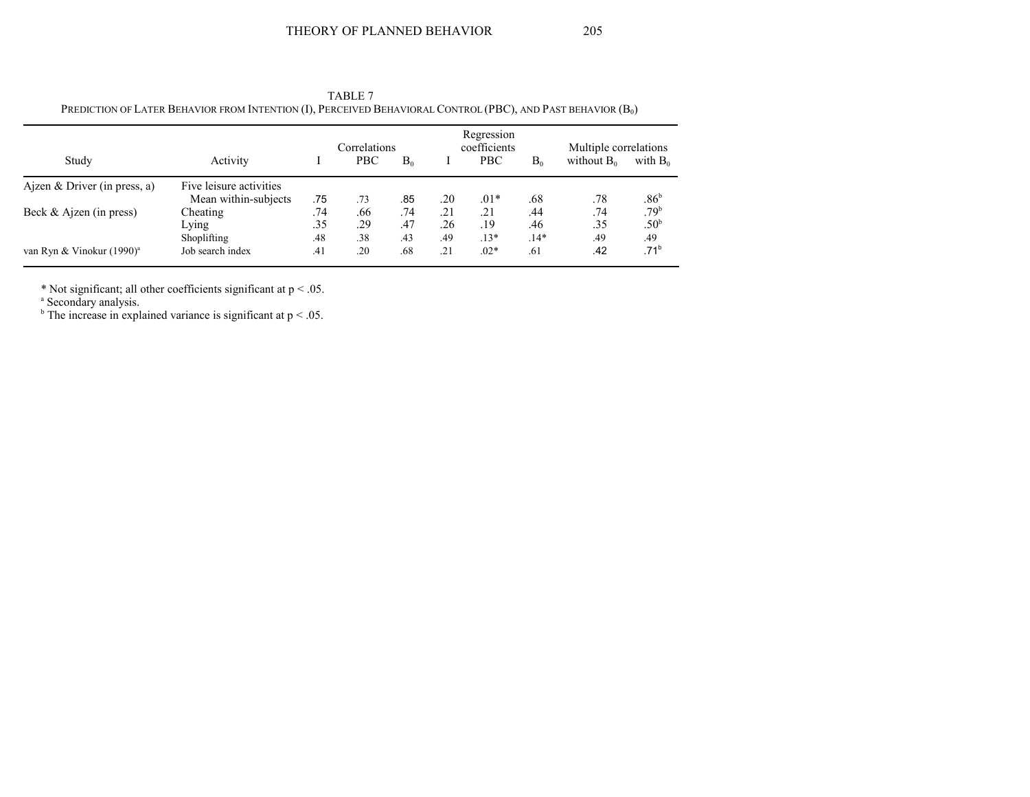TABLE 7Prediction of Later Behavior from Intention (I), Perceived Behavioral Control (PBC), and Past behavior  $(\mathrm{B}_0)$ 

|                                       |                         | Correlations |            |       | Regression<br>coefficients |            |        | Multiple correlations |                  |  |
|---------------------------------------|-------------------------|--------------|------------|-------|----------------------------|------------|--------|-----------------------|------------------|--|
| Study                                 | Activity                |              | <b>PBC</b> | $B_0$ |                            | <b>PBC</b> | $B_0$  | without $B_0$         | with $B_0$       |  |
| Ajzen & Driver (in press, a)          | Five leisure activities |              |            |       |                            |            |        |                       |                  |  |
|                                       | Mean within-subjects    | .75          | .73        | .85   | .20                        | $.01*$     | .68    | .78                   | .86 <sup>b</sup> |  |
| Beck $& A$ Ajzen (in press)           | Cheating                | .74          | .66        | .74   | .21                        | .21        | .44    | .74                   | .79 <sup>b</sup> |  |
|                                       | Lying                   | .35          | .29        | .47   | .26                        | .19        | .46    | .35                   | .50 <sup>b</sup> |  |
|                                       | Shoplifting             | .48          | .38        | .43   | .49                        | $.13*$     | $.14*$ | .49                   | .49              |  |
| van Ryn & Vinokur (1990) <sup>a</sup> | Job search index        | .41          | .20        | .68   | .21                        | $.02*$     | .61    | .42                   | .71 <sup>b</sup> |  |

\* Not significant; all other coefficients significant at p < .05.

a Secondary analysis.

<sup>b</sup> The increase in explained variance is significant at  $p < 0.05$ .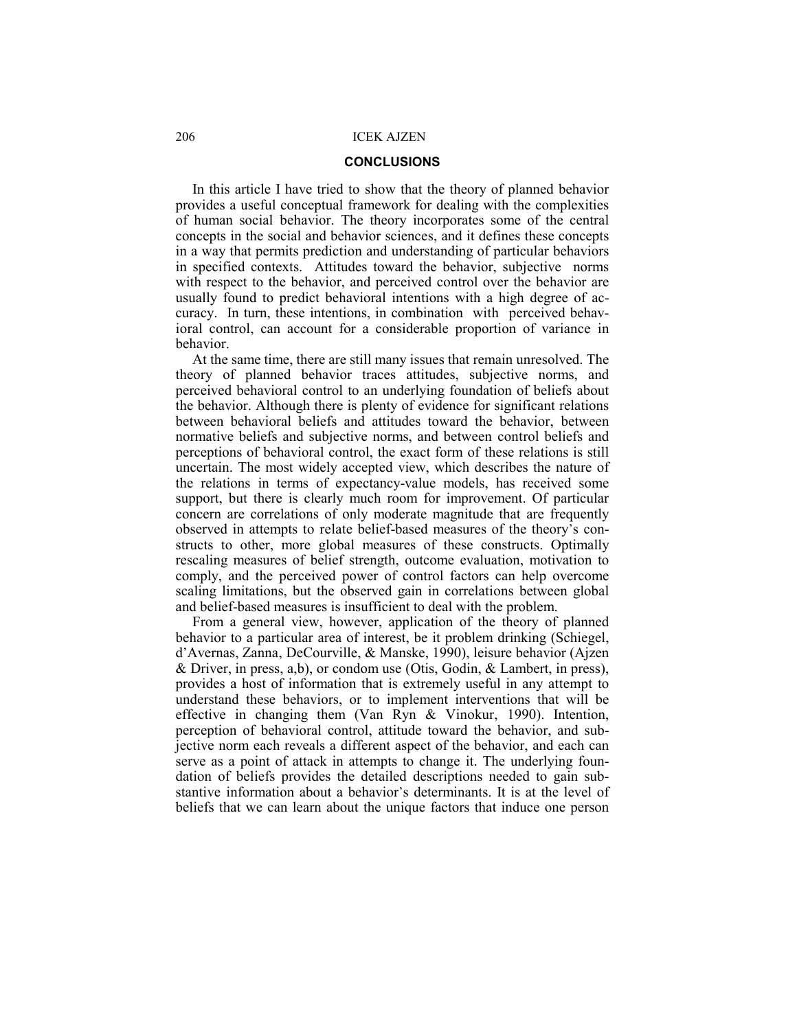### **CONCLUSIONS**

In this article I have tried to show that the theory of planned behavior provides a useful conceptual framework for dealing with the complexities of human social behavior. The theory incorporates some of the central concepts in the social and behavior sciences, and it defines these concepts in a way that permits prediction and understanding of particular behaviors in specified contexts. Attitudes toward the behavior, subjective norms with respect to the behavior, and perceived control over the behavior are usually found to predict behavioral intentions with a high degree of accuracy. In turn, these intentions, in combination with perceived behavioral control, can account for a considerable proportion of variance in behavior.

At the same time, there are still many issues that remain unresolved. The theory of planned behavior traces attitudes, subjective norms, and perceived behavioral control to an underlying foundation of beliefs about the behavior. Although there is plenty of evidence for significant relations between behavioral beliefs and attitudes toward the behavior, between normative beliefs and subjective norms, and between control beliefs and perceptions of behavioral control, the exact form of these relations is still uncertain. The most widely accepted view, which describes the nature of the relations in terms of expectancy-value models, has received some support, but there is clearly much room for improvement. Of particular concern are correlations of only moderate magnitude that are frequently observed in attempts to relate belief-based measures of the theory's constructs to other, more global measures of these constructs. Optimally rescaling measures of belief strength, outcome evaluation, motivation to comply, and the perceived power of control factors can help overcome scaling limitations, but the observed gain in correlations between global and belief-based measures is insufficient to deal with the problem.

From a general view, however, application of the theory of planned behavior to a particular area of interest, be it problem drinking (Schiegel, d\*Avernas, Zanna, DeCourville, & Manske, 1990), leisure behavior (Ajzen & Driver, in press, a,b), or condom use (Otis, Godin, & Lambert, in press), provides a host of information that is extremely useful in any attempt to understand these behaviors, or to implement interventions that will be effective in changing them (Van Ryn & Vinokur, 1990). Intention, perception of behavioral control, attitude toward the behavior, and subjective norm each reveals a different aspect of the behavior, and each can serve as a point of attack in attempts to change it. The underlying foundation of beliefs provides the detailed descriptions needed to gain substantive information about a behavior's determinants. It is at the level of beliefs that we can learn about the unique factors that induce one person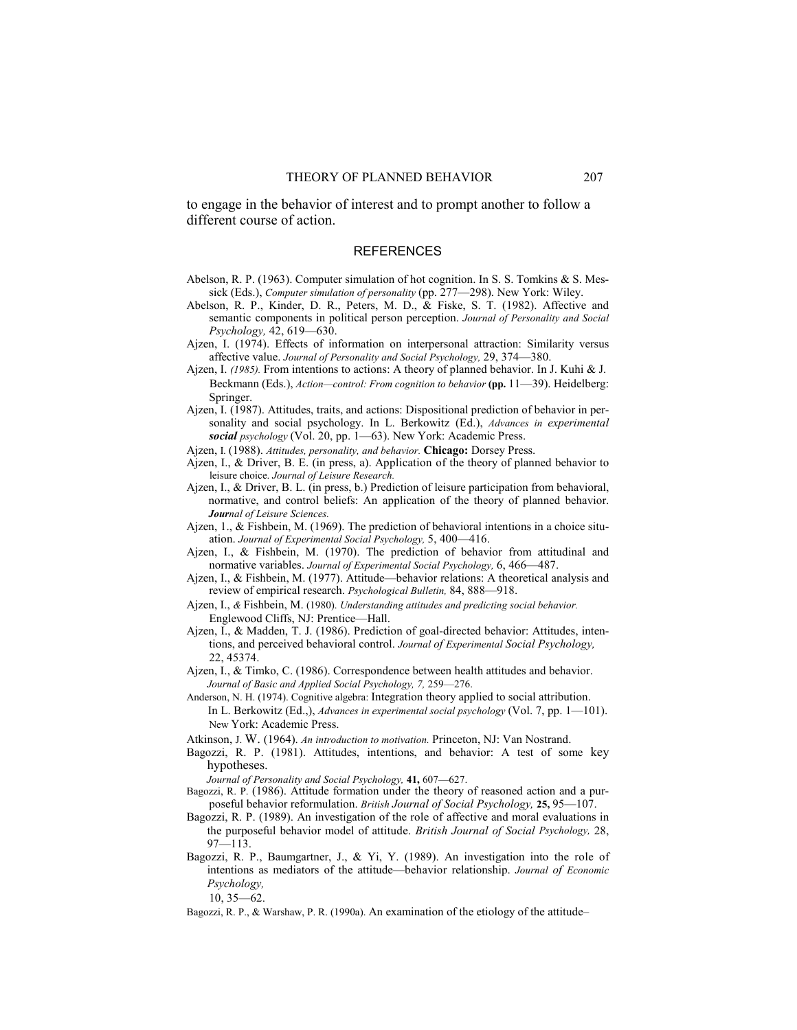to engage in the behavior of interest and to prompt another to follow a different course of action.

### REFERENCES

- Abelson, R. P. (1963). Computer simulation of hot cognition. In S. S. Tomkins & S. Messick (Eds.), *Computer simulation of personality* (pp. 277-298). New York: Wiley.
- Abelson, R. P., Kinder, D. R., Peters, M. D., & Fiske, S. T. (1982). Affective and semantic components in political person perception. *Journal of Personality and Social Psychology,* 42, 619–630.
- Ajzen, I. (1974). Effects of information on interpersonal attraction: Similarity versus affective value. *Journal of Personality and Social Psychology*, 29, 374–380.
- Ajzen, I. *(1985).* From intentions to actions: A theory of planned behavior. In J. Kuhi & J. Beckmann (Eds.), *Action—control: From cognition to behavior* (pp. 11—39). Heidelberg: Springer.
- Ajzen, I. (1987). Attitudes, traits, and actions: Dispositional prediction of behavior in personality and social psychology. In L. Berkowitz (Ed.), *Advances in experimental* social *psychology* (Vol. 20, pp. 1-63). New York: Academic Press.
- Ajzen, I. (1988). *Attitudes, personality, and behavior.* **Chicago:** Dorsey Press.
- Ajzen, I., & Driver, B. E. (in press, a). Application of the theory of planned behavior to leisure choice. *Journal of Leisure Research.*
- Ajzen, I., & Driver, B. L. (in press, b.) Prediction of leisure participation from behavioral, normative, and control beliefs: An application of the theory of planned behavior. *Journal of Leisure Sciences.*
- Ajzen, 1., & Fishbein, M. (1969). The prediction of behavioral intentions in a choice situation. *Journal of Experimental Social Psychology*, 5, 400–416.
- Ajzen, I., & Fishbein, M. (1970). The prediction of behavior from attitudinal and normative variables. *Journal of Experimental Social Psychology*, 6, 466-487.
- Ajzen, I., & Fishbein, M. (1977). Attitude—behavior relations: A theoretical analysis and review of empirical research. *Psychological Bulletin*, 84, 888–918.
- Ajzen, I., *&* Fishbein, M. (1980). *Understanding attitudes and predicting social behavior.* Englewood Cliffs, NJ: Prentice—Hall.
- Ajzen, I., & Madden, T. J. (1986). Prediction of goal-directed behavior: Attitudes, intentions, and perceived behavioral control. *Journal of Experimental Social Psychology,* 22, 45374.
- Ajzen, I., & Timko, C. (1986). Correspondence between health attitudes and behavior. Journal of Basic and Applied Social Psychology, 7, 259-276.
- Anderson, N. H. (1974). Cognitive algebra: Integration theory applied to social attribution. In L. Berkowitz (Ed.,), *Advances in experimental social psychology* (Vol. 7, pp. 1–101). New York: Academic Press.
- Atkinson, J. W. (1964). *An introduction to motivation.* Princeton, NJ: Van Nostrand.
- Bagozzi, R. P. (1981). Attitudes, intentions, and behavior: A test of some key hypotheses.

*Journal of Personality and Social Psychology,* 41, 607-627.

- Bagozzi, R. P. (1986). Attitude formation under the theory of reasoned action and a purposeful behavior reformulation. *British Journal of Social Psychology*, **25,** 95–107.
- Bagozzi, R. P. (1989). An investigation of the role of affective and moral evaluations in the purposeful behavior model of attitude. *British Journal of Social Psychology,* 28,  $97 - 113$
- Bagozzi, R. P., Baumgartner, J., & Yi, Y. (1989). An investigation into the role of intentions as mediators of the attitude—behavior relationship. *Journal of Economic Psychology,*

 $10, 35 - 62.$ 

Bagozzi, R. P., & Warshaw, P. R. (1990a). An examination of the etiology of the attitude–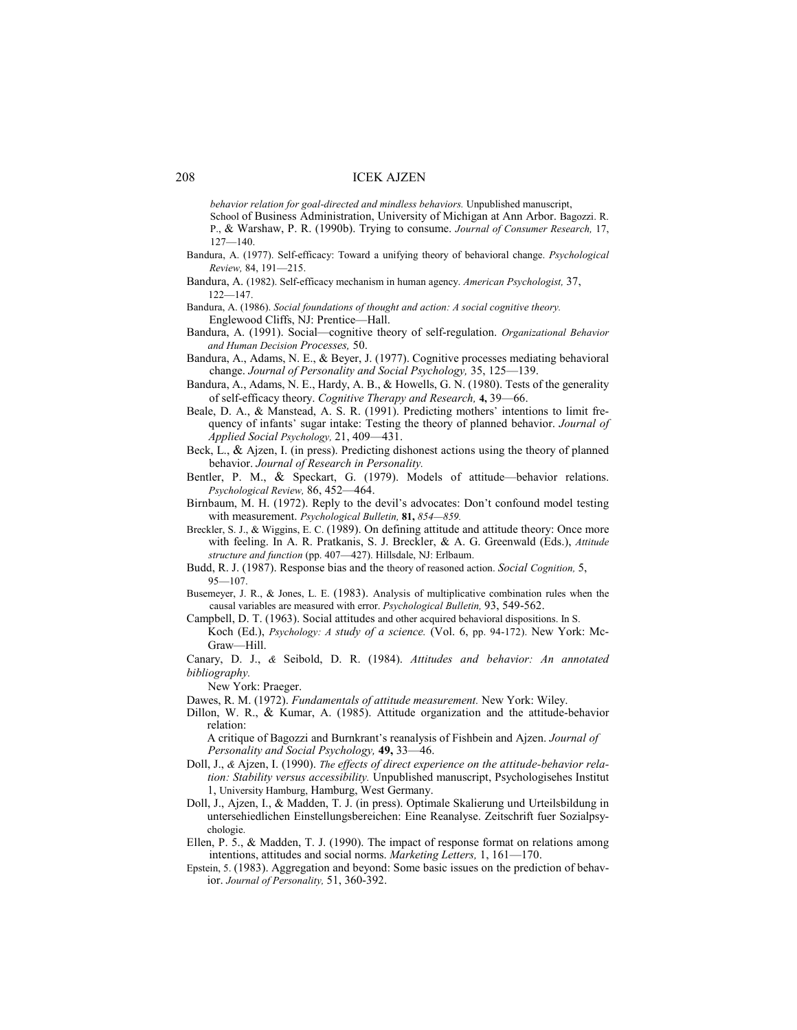*behavior relation for goal-directed and mindless behaviors.* Unpublished manuscript,

School of Business Administration, University of Michigan at Ann Arbor. Bagozzi. R. P., & Warshaw, P. R. (1990b). Trying to consume. *Journal of Consumer Research,* 17,  $127 - 140$ .

- Bandura, A. (1977). Self-efficacy: Toward a unifying theory of behavioral change. *Psychological Review, 84, 191-215.*
- Bandura, A. (1982). Self-efficacy mechanism in human agency. *American Psychologist,* 37,  $122 - 147$ .

Bandura, A. (1986). *Social foundations of thought and action: A social cognitive theory.* Englewood Cliffs, NJ: Prentice-Hall.

Bandura, A. (1991). Social—cognitive theory of self-regulation. *Organizational Behavior and Human Decision Processes,* 50.

Bandura, A., Adams, N. E., & Beyer, J. (1977). Cognitive processes mediating behavioral change. *Journal of Personality and Social Psychology*, 35, 125–139.

Bandura, A., Adams, N. E., Hardy, A. B., & Howells, G. N. (1980). Tests of the generality of self-efficacy theory. *Cognitive Therapy and Research*, 4, 39–66.

Beale, D. A., & Manstead, A. S. R. (1991). Predicting mothers' intentions to limit frequency of infants\* sugar intake: Testing the theory of planned behavior. *Journal of Applied Social Psychology, 21, 409*—431.

Beck, L., & Ajzen, I. (in press). Predicting dishonest actions using the theory of planned behavior. *Journal of Research in Personality.*

Bentler, P. M.,  $\&$  Speckart, G. (1979). Models of attitude—behavior relations. *Psychological Review, 86, 452*–464.

Birnbaum, M. H. (1972). Reply to the devil's advocates: Don't confound model testing with measurement. *Psychological Bulletin*, 81, 854-859.

- Breckler, S. J., & Wiggins, E. C. (1989). On defining attitude and attitude theory: Once more with feeling. In A. R. Pratkanis, S. J. Breckler, & A. G. Greenwald (Eds.), *Attitude* structure and function (pp. 407-427). Hillsdale, NJ: Erlbaum.
- Budd, R. J. (1987). Response bias and the theory of reasoned action. *Social Cognition,* 5,  $95 - 107$ .
- Busemeyer, J. R., & Jones, L. E. (1983). Analysis of multiplicative combination rules when the causal variables are measured with error. *Psychological Bulletin,* 93, 549-562.
- Campbell, D. T. (1963). Social attitudes and other acquired behavioral dispositions. In S. Koch (Ed.), *Psychology: A study of a science.* (Vol. 6, pp. 94-172). New York: Mc-Graw-Hill.

Canary, D. J., *&* Seibold, D. R. (1984). *Attitudes and behavior: An annotated bibliography.*

New York: Praeger.

Dawes, R. M. (1972). *Fundamentals of attitude measurement.* New York: Wiley.

Dillon, W. R., & Kumar, A. (1985). Attitude organization and the attitude-behavior relation:

A critique of Bagozzi and Burnkrant's reanalysis of Fishbein and Ajzen. *Journal of Personality and Social Psychology*, 49, 33-46.

- Doll, J., *&* Ajzen, I. (1990). *The effects of direct experience on the attitude-behavior relation: Stability versus accessibility.* Unpublished manuscript, Psychologisehes Institut 1, University Hamburg, Hamburg, West Germany.
- Doll, J., Ajzen, I., & Madden, T. J. (in press). Optimale Skalierung und Urteilsbildung in untersehiedlichen Einstellungsbereichen: Eine Reanalyse. Zeitschrift fuer Sozialpsychologie.
- Ellen, P. 5., & Madden, T. J. (1990). The impact of response format on relations among intentions, attitudes and social norms. *Marketing Letters*, 1, 161–170.
- Epstein, 5. (1983). Aggregation and beyond: Some basic issues on the prediction of behavior. *Journal of Personality,* 51, 360-392.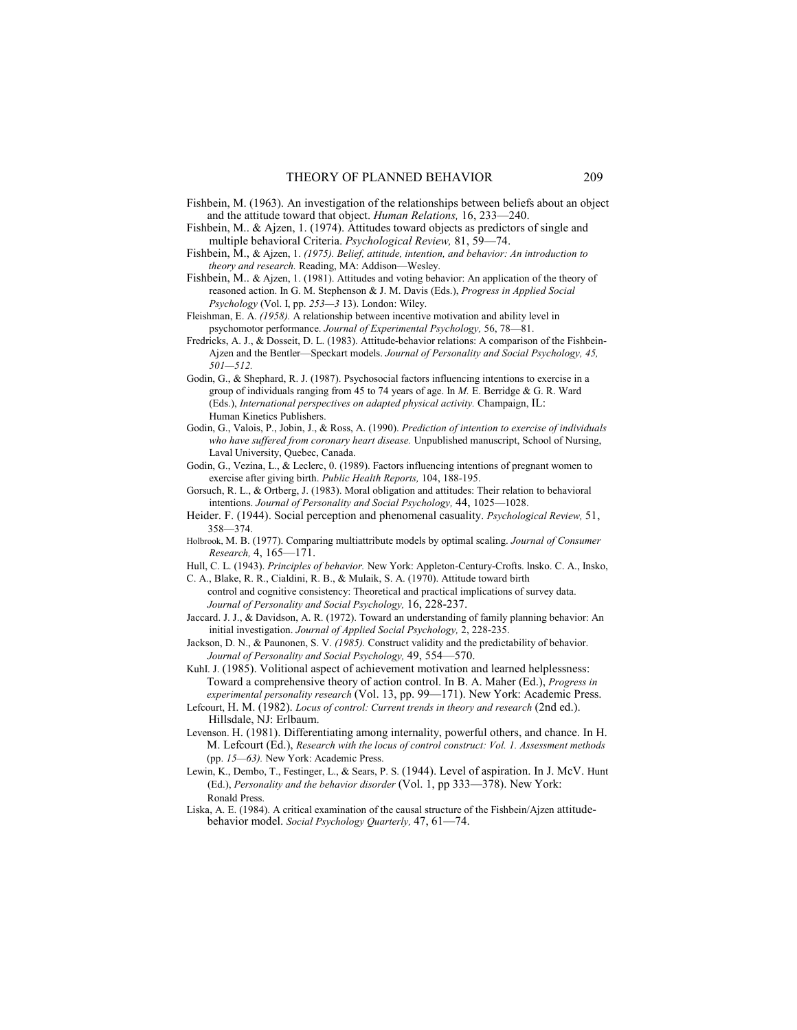- Fishbein, M. (1963). An investigation of the relationships between beliefs about an object and the attitude toward that object. *Human Relations*, 16, 233-240.
- Fishbein, M.. & Ajzen, 1. (1974). Attitudes toward objects as predictors of single and multiple behavioral Criteria. *Psychological Review*, 81, 59-74.
- Fishbein, M., & Ajzen, 1. *(1975). Belief, attitude, intention, and behavior: An introduction to theory and research.* Reading, MA: Addison-Wesley.

Fishbein, M.. & Ajzen, 1. (1981). Attitudes and voting behavior: An application of the theory of reasoned action. In G. M. Stephenson & J. M. Davis (Eds.), *Progress in Applied Social Psychology* (Vol. I, pp. 253–3 13). London: Wiley.

- Fleishman, E. A. *(1958).* A relationship between incentive motivation and ability level in psychomotor performance. *Journal of Experimental Psychology*, 56, 78–81.
- Fredricks, A. J., & Dosseit, D. L. (1983). Attitude-behavior relations: A comparison of the Fishbein-Ajzen and the Bentler—Speckart models. *Journal of Personality and Social Psychology, 45*, 501<sup>-512</sup>.
- Godin, G., & Shephard, R. J. (1987). Psychosocial factors influencing intentions to exercise in a group of individuals ranging from 45 to 74 years of age. In *M.* E. Berridge & G. R. Ward (Eds.), *International perspectives on adapted physical activity.* Champaign, IL: Human Kinetics Publishers.
- Godin, G., Valois, P., Jobin, J., & Ross, A. (1990). *Prediction of intention to exercise of individuals who have suffered from coronary heart disease.* Unpublished manuscript, School of Nursing, Laval University, Quebec, Canada.
- Godin, G., Vezina, L., & Leclerc, 0. (1989). Factors influencing intentions of pregnant women to exercise after giving birth. *Public Health Reports,* 104, 188-195.
- Gorsuch, R. L., & Ortberg, J. (1983). Moral obligation and attitudes: Their relation to behavioral intentions. *Journal of Personality and Social Psychology*, 44, 1025–1028.
- Heider. F. (1944). Social perception and phenomenal casuality. *Psychological Review,* 51, 358-374.
- Holbrook, M. B. (1977). Comparing multiattribute models by optimal scaling. *Journal of Consumer Research, 4, 165*—171.
- Hull, C. L. (1943). *Principles of behavior.* New York: Appleton-Century-Crofts. lnsko. C. A., Insko, C. A., Blake, R. R., Cialdini, R. B., & Mulaik, S. A. (1970). Attitude toward birth

control and cognitive consistency: Theoretical and practical implications of survey data. *Journal of Personality and Social Psychology,* 16, 228-237.

- Jaccard. J. J., & Davidson, A. R. (1972). Toward an understanding of family planning behavior: An initial investigation. *Journal of Applied Social Psychology,* 2, 228-235.
- Jackson, D. N., & Paunonen, S. V. *(1985).* Construct validity and the predictability of behavior. *Journal of Personality and Social Psychology, 49, 554*–570.

KuhI. J. (1985). Volitional aspect of achievement motivation and learned helplessness: Toward a comprehensive theory of action control. In B. A. Maher (Ed.), *Progress in experimental personality research* (Vol. 13, pp. 99-171). New York: Academic Press.

- Lefcourt, H. M. (1982). *Locus of control: Current trends in theory and research* (2nd ed.). Hillsdale, NJ: Erlbaum.
- Levenson. H. (1981). Differentiating among internality, powerful others, and chance. In H. M. Lefcourt (Ed.), *Research with the locus of control construct: Vol. 1. Assessment methods* (pp. 15–63). New York: Academic Press.
- Lewin, K., Dembo, T., Festinger, L., & Sears, P. S. (1944). Level of aspiration. In J. McV. Hunt (Ed.), Personality and the behavior disorder (Vol. 1, pp 333-378). New York: Ronald Press.
- Liska, A. E. (1984). A critical examination of the causal structure of the Fishbein/Ajzen attitudebehavior model. *Social Psychology Quarterly,* 47, 61-74.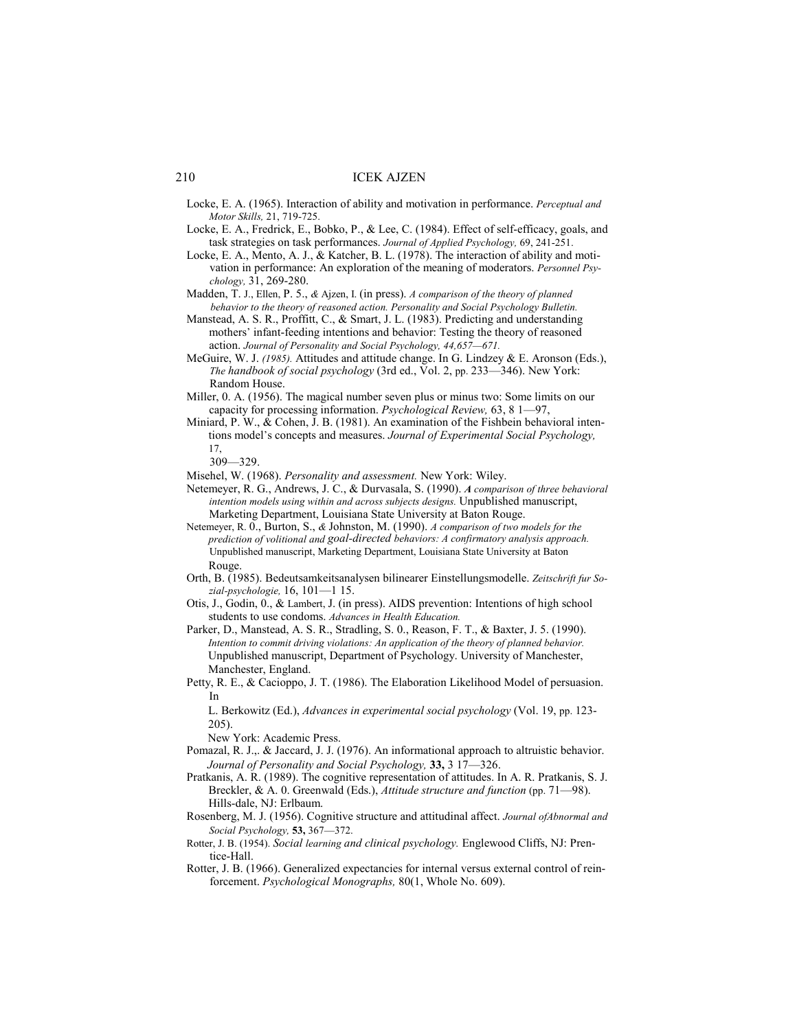- Locke, E. A. (1965). Interaction of ability and motivation in performance. *Perceptual and Motor Skills,* 21, 719-725.
- Locke, E. A., Fredrick, E., Bobko, P., & Lee, C. (1984). Effect of self-efficacy, goals, and task strategies on task performances. *Journal of Applied Psychology,* 69, 241-251.
- Locke, E. A., Mento, A. J., & Katcher, B. L. (1978). The interaction of ability and motivation in performance: An exploration of the meaning of moderators. *Personnel Psychology,* 31, 269-280.
- Madden, T. J., Ellen, P. 5., *&* Ajzen, I. (in press). *A comparison of the theory of planned behavior to the theory of reasoned action. Personality and Social Psychology Bulletin.*

Manstead, A. S. R., Proffitt, C., & Smart, J. L. (1983). Predicting and understanding mothers' infant-feeding intentions and behavior: Testing the theory of reasoned action. *Journal of Personality and Social Psychology, 44,657*–671.

- MeGuire, W. J. *(1985).* Attitudes and attitude change. In G. Lindzey & E. Aronson (Eds.), *The handbook of social psychology* (3rd ed., Vol. 2, pp. 233-346). New York: Random House.
- Miller, 0. A. (1956). The magical number seven plus or minus two: Some limits on our capacity for processing information. *Psychological Review, 63, 8 1–97,*
- Miniard, P. W., & Cohen, J. B. (1981). An examination of the Fishbein behavioral intentions model\*s concepts and measures. *Journal of Experimental Social Psychology,* 17,

Misehel, W. (1968). *Personality and assessment.* New York: Wiley.

- Netemeyer, R. G., Andrews, J. C., & Durvasala, S. (1990). *A comparison of three behavioral intention models using within and across subjects designs.* Unpublished manuscript, Marketing Department, Louisiana State University at Baton Rouge.
- Netemeyer, R. 0., Burton, S., *&* Johnston, M. (1990). *A comparison of two models for the prediction of volitional and goal-directed behaviors: A confirmatory analysis approach.* Unpublished manuscript, Marketing Department, Louisiana State University at Baton Rouge.
- Orth, B. (1985). Bedeutsamkeitsanalysen bilinearer Einstellungsmodelle. *Zeitschrift fur Sozial-psychologie,* 16, 101-1 15.
- Otis, J., Godin, 0., & Lambert, J. (in press). AIDS prevention: Intentions of high school students to use condoms. *Advances in Health Education.*
- Parker, D., Manstead, A. S. R., Stradling, S. 0., Reason, F. T., & Baxter, J. 5. (1990). *Intention to commit driving violations: An application of the theory of planned behavior.* Unpublished manuscript, Department of Psychology. University of Manchester, Manchester, England.
- Petty, R. E., & Cacioppo, J. T. (1986). The Elaboration Likelihood Model of persuasion. In

L. Berkowitz (Ed.), *Advances in experimental social psychology* (Vol. 19, pp. 123- 205).

New York: Academic Press.

- Pomazal, R. J.,. & Jaccard, J. J. (1976). An informational approach to altruistic behavior. *Journal of Personality and Social Psychology, 33, 3 17-326.*
- Pratkanis, A. R. (1989). The cognitive representation of attitudes. In A. R. Pratkanis, S. J. Breckler, & A. 0. Greenwald (Eds.), *Attitude structure and function* (pp. 71–98). Hills-dale, NJ: Erlbaum.
- Rosenberg, M. J. (1956). Cognitive structure and attitudinal affect. *Journal ofAbnormal and Social Psychology*, **53,** 367-372.
- Rotter, J. B. (1954). *Social learning and clinical psychology.* Englewood Cliffs, NJ: Prentice-Hall.
- Rotter, J. B. (1966). Generalized expectancies for internal versus external control of reinforcement. *Psychological Monographs,* 80(1, Whole No. 609).

 $309 - 329$ .